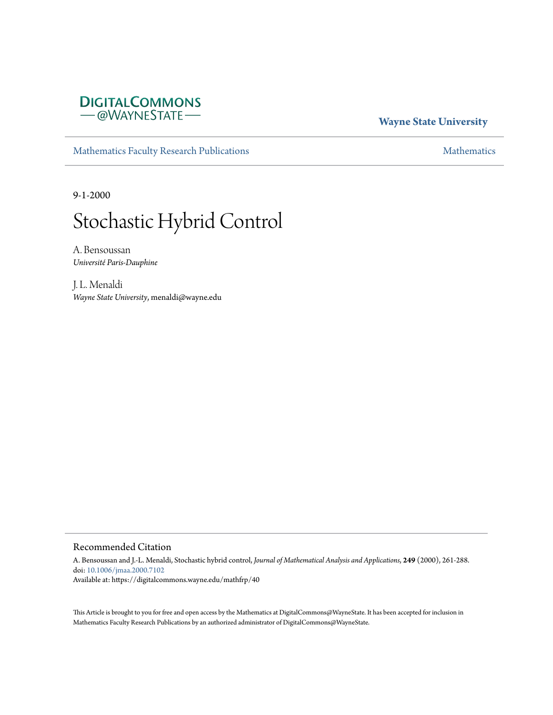# **DIGITALCOMMONS** - @WAYNESTATE-

# **Wayne State University**

[Mathematics Faculty Research Publications](https://digitalcommons.wayne.edu/mathfrp) **[Mathematics](https://digitalcommons.wayne.edu/math)** Mathematics

9-1-2000

# Stochastic Hybrid Control

A. Bensoussan *Université Paris-Dauphine*

J. L. Menaldi *Wayne State University*, menaldi@wayne.edu

#### Recommended Citation

A. Bensoussan and J.-L. Menaldi, Stochastic hybrid control, *Journal of Mathematical Analysis and Applications*, **249** (2000), 261-288. doi: [10.1006/jmaa.2000.7102](https://dx.doi.org/10.1006/jmaa.2000.7102) Available at: https://digitalcommons.wayne.edu/mathfrp/40

This Article is brought to you for free and open access by the Mathematics at DigitalCommons@WayneState. It has been accepted for inclusion in Mathematics Faculty Research Publications by an authorized administrator of DigitalCommons@WayneState.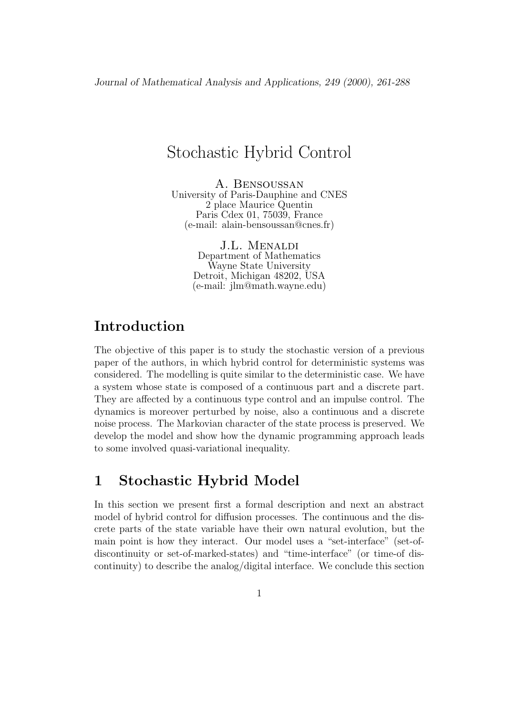# Stochastic Hybrid Control

A. Bensoussan University of Paris-Dauphine and CNES 2 place Maurice Quentin Paris Cdex 01, 75039, France (e-mail: alain-bensoussan@cnes.fr)

> J.L. Menaldi Department of Mathematics Wayne State University Detroit, Michigan 48202, USA (e-mail: jlm@math.wayne.edu)

# **Introduction**

The objective of this paper is to study the stochastic version of a previous paper of the authors, in which hybrid control for deterministic systems was considered. The modelling is quite similar to the deterministic case. We have a system whose state is composed of a continuous part and a discrete part. They are affected by a continuous type control and an impulse control. The dynamics is moreover perturbed by noise, also a continuous and a discrete noise process. The Markovian character of the state process is preserved. We develop the model and show how the dynamic programming approach leads to some involved quasi-variational inequality.

# **1 Stochastic Hybrid Model**

In this section we present first a formal description and next an abstract model of hybrid control for diffusion processes. The continuous and the discrete parts of the state variable have their own natural evolution, but the main point is how they interact. Our model uses a "set-interface" (set-ofdiscontinuity or set-of-marked-states) and "time-interface" (or time-of discontinuity) to describe the analog/digital interface. We conclude this section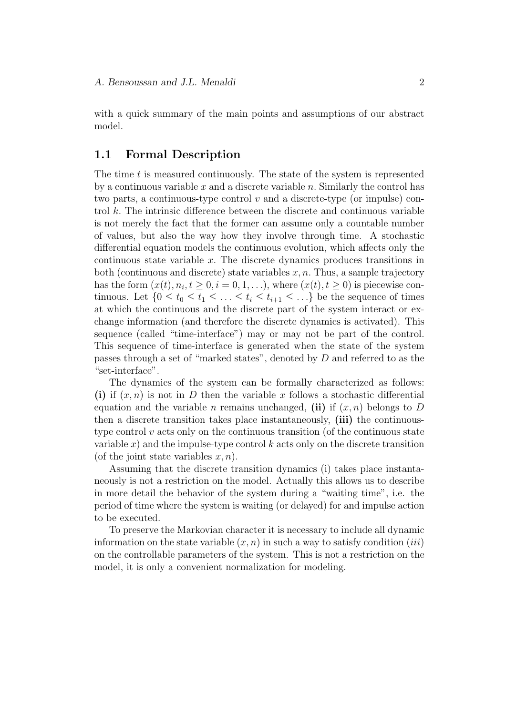with a quick summary of the main points and assumptions of our abstract model.

## **1.1 Formal Description**

The time *t* is measured continuously. The state of the system is represented by a continuous variable *x* and a discrete variable *n.* Similarly the control has two parts, a continuous-type control *v* and a discrete-type (or impulse) control *k.* The intrinsic difference between the discrete and continuous variable is not merely the fact that the former can assume only a countable number of values, but also the way how they involve through time. A stochastic differential equation models the continuous evolution, which affects only the continuous state variable *x.* The discrete dynamics produces transitions in both (continuous and discrete) state variables  $x, n$ . Thus, a sample trajectory has the form  $(x(t), n_i, t \ge 0, i = 0, 1, \ldots)$ , where  $(x(t), t \ge 0)$  is piecewise continuous. Let  $\{0 \le t_0 \le t_1 \le \ldots \le t_i \le t_{i+1} \le \ldots\}$  be the sequence of times at which the continuous and the discrete part of the system interact or exchange information (and therefore the discrete dynamics is activated). This sequence (called "time-interface") may or may not be part of the control. This sequence of time-interface is generated when the state of the system passes through a set of "marked states", denoted by *D* and referred to as the "set-interface".

The dynamics of the system can be formally characterized as follows: **(i)** if  $(x, n)$  is not in *D* then the variable *x* follows a stochastic differential equation and the variable *n* remains unchanged, (ii) if  $(x, n)$  belongs to *D* then a discrete transition takes place instantaneously, **(iii)** the continuoustype control  $v$  acts only on the continuous transition (of the continuous state variable  $x$ ) and the impulse-type control  $k$  acts only on the discrete transition (of the joint state variables *x, n*).

Assuming that the discrete transition dynamics (i) takes place instantaneously is not a restriction on the model. Actually this allows us to describe in more detail the behavior of the system during a "waiting time", i.e. the period of time where the system is waiting (or delayed) for and impulse action to be executed.

To preserve the Markovian character it is necessary to include all dynamic information on the state variable  $(x, n)$  in such a way to satisfy condition *(iii)* on the controllable parameters of the system. This is not a restriction on the model, it is only a convenient normalization for modeling.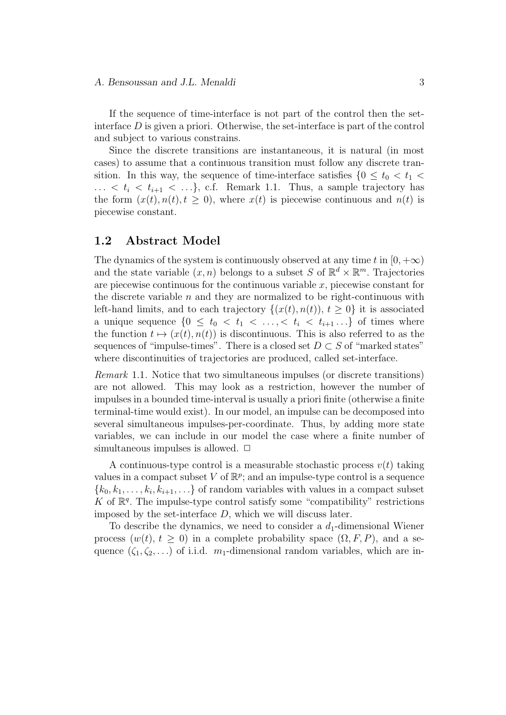If the sequence of time-interface is not part of the control then the setinterface *D* is given a priori. Otherwise, the set-interface is part of the control and subject to various constrains.

Since the discrete transitions are instantaneous, it is natural (in most cases) to assume that a continuous transition must follow any discrete transition. In this way, the sequence of time-interface satisfies  $\{0 \le t_0 < t_1$  $\ldots$  <  $t_i$  <  $t_{i+1}$  <  $\ldots$ }, c.f. Remark 1.1. Thus, a sample trajectory has the form  $(x(t), n(t), t \geq 0)$ , where  $x(t)$  is piecewise continuous and  $n(t)$  is piecewise constant.

### **1.2 Abstract Model**

The dynamics of the system is continuously observed at any time  $t$  in  $[0, +\infty)$ and the state variable  $(x, n)$  belongs to a subset *S* of  $\mathbb{R}^d \times \mathbb{R}^m$ . Trajectories are piecewise continuous for the continuous variable *x,* piecewise constant for the discrete variable *n* and they are normalized to be right-continuous with left-hand limits, and to each trajectory  $\{(x(t), n(t)), t \geq 0\}$  it is associated a unique sequence  $\{0 \leq t_0 < t_1 < \ldots < t_i < t_{i+1} \ldots\}$  of times where the function  $t \mapsto (x(t), n(t))$  is discontinuous. This is also referred to as the sequences of "impulse-times". There is a closed set  $D \subset S$  of "marked states" where discontinuities of trajectories are produced, called set-interface.

*Remark* 1.1*.* Notice that two simultaneous impulses (or discrete transitions) are not allowed. This may look as a restriction, however the number of impulses in a bounded time-interval is usually a priori finite (otherwise a finite terminal-time would exist). In our model, an impulse can be decomposed into several simultaneous impulses-per-coordinate. Thus, by adding more state variables, we can include in our model the case where a finite number of simultaneous impulses is allowed.  $\Box$ 

A continuous-type control is a measurable stochastic process  $v(t)$  taking values in a compact subset  $V$  of  $\mathbb{R}^p$ ; and an impulse-type control is a sequence  ${k_0, k_1, \ldots, k_i, k_{i+1}, \ldots}$  of random variables with values in a compact subset K of  $\mathbb{R}^q$ . The impulse-type control satisfy some "compatibility" restrictions imposed by the set-interface *D,* which we will discuss later.

To describe the dynamics, we need to consider a *d*1-dimensional Wiener process  $(w(t), t \geq 0)$  in a complete probability space  $(\Omega, F, P)$ , and a sequence  $(\zeta_1, \zeta_2, \ldots)$  of i.i.d.  $m_1$ -dimensional random variables, which are in-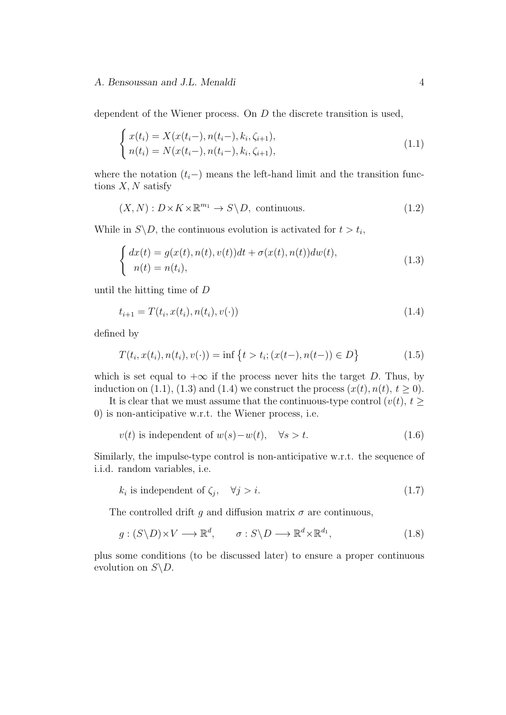dependent of the Wiener process. On *D* the discrete transition is used,

$$
\begin{cases}\nx(t_i) = X(x(t_i-), n(t_i-), k_i, \zeta_{i+1}), \\
n(t_i) = N(x(t_i-), n(t_i-), k_i, \zeta_{i+1}),\n\end{cases}
$$
\n(1.1)

where the notation  $(t_i-)$  means the left-hand limit and the transition functions *X, N* satisfy

$$
(X, N) : D \times K \times \mathbb{R}^{m_1} \to S \backslash D, \text{ continuous.}
$$
\n
$$
(1.2)
$$

While in  $S \backslash D$ , the continuous evolution is activated for  $t > t_i$ ,

$$
\begin{cases}\ndx(t) = g(x(t), n(t), v(t))dt + \sigma(x(t), n(t))dw(t), \\
n(t) = n(t_i),\n\end{cases} \tag{1.3}
$$

until the hitting time of *D*

$$
t_{i+1} = T(t_i, x(t_i), n(t_i), v(\cdot))
$$
\n(1.4)

defined by

$$
T(t_i, x(t_i), n(t_i), v(\cdot)) = \inf \{ t > t_i; (x(t-), n(t-)) \in D \}
$$
\n(1.5)

which is set equal to  $+\infty$  if the process never hits the target *D*. Thus, by induction on (1.1), (1.3) and (1.4) we construct the process  $(x(t), n(t), t \ge 0)$ .

It is clear that we must assume that the continuous-type control  $(v(t), t \geq 0)$ 0) is non-anticipative w.r.t. the Wiener process, i.e.

$$
v(t) \text{ is independent of } w(s) - w(t), \quad \forall s > t. \tag{1.6}
$$

Similarly, the impulse-type control is non-anticipative w.r.t. the sequence of i.i.d. random variables, i.e.

$$
k_i \text{ is independent of } \zeta_j, \quad \forall j > i. \tag{1.7}
$$

The controlled drift  $g$  and diffusion matrix  $\sigma$  are continuous,

$$
g: (S \backslash D) \times V \longrightarrow \mathbb{R}^d, \qquad \sigma: S \backslash D \longrightarrow \mathbb{R}^d \times \mathbb{R}^{d_1}, \tag{1.8}
$$

plus some conditions (to be discussed later) to ensure a proper continuous evolution on  $S \backslash D$ .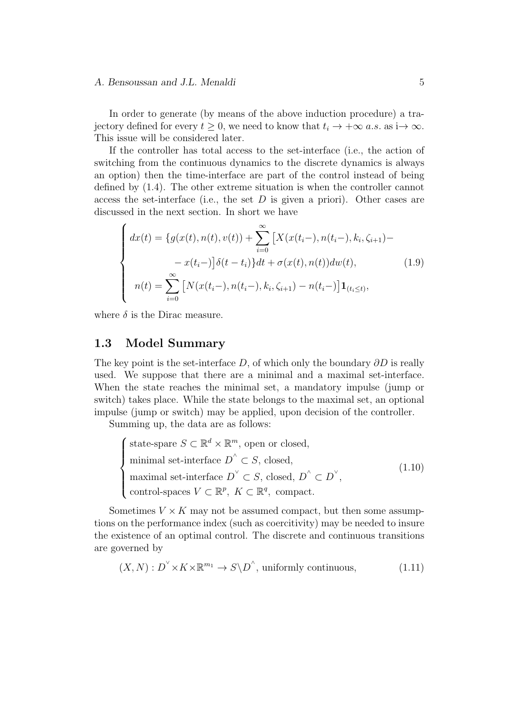In order to generate (by means of the above induction procedure) a trajectory defined for every  $t \geq 0$ , we need to know that  $t_i \to +\infty$  *a.s.* as  $i \to \infty$ *.* This issue will be considered later.

If the controller has total access to the set-interface (i.e., the action of switching from the continuous dynamics to the discrete dynamics is always an option) then the time-interface are part of the control instead of being defined by (1.4). The other extreme situation is when the controller cannot access the set-interface (i.e., the set  $D$  is given a priori). Other cases are discussed in the next section. In short we have

$$
\begin{cases}\n dx(t) = \{g(x(t), n(t), v(t)) + \sum_{i=0}^{\infty} \left[ X(x(t_i-), n(t_i-), k_i, \zeta_{i+1}) - \right. \\
\left. - x(t_i-) \right] \delta(t - t_i) \} dt + \sigma(x(t), n(t)) dw(t), \\
 n(t) = \sum_{i=0}^{\infty} \left[ N(x(t_i-), n(t_i-), k_i, \zeta_{i+1}) - n(t_i-) \right] \mathbf{1}_{(t_i \le t)},\n\end{cases} \tag{1.9}
$$

where  $\delta$  is the Dirac measure.

### **1.3 Model Summary**

The key point is the set-interface *D*, of which only the boundary *∂D* is really used. We suppose that there are a minimal and a maximal set-interface. When the state reaches the minimal set, a mandatory impulse (jump or switch) takes place. While the state belongs to the maximal set, an optional impulse (jump or switch) may be applied, upon decision of the controller.

Summing up, the data are as follows:

$$
\begin{cases}\n\text{state-space } S \subset \mathbb{R}^d \times \mathbb{R}^m, \text{ open or closed,} \\
\text{minimal set-interface } D^{\wedge} \subset S, \text{ closed,} \\
\text{maximal set-interface } D^{\vee} \subset S, \text{ closed, } D^{\wedge} \subset D^{\vee}, \\
\text{control-spaces } V \subset \mathbb{R}^p, \ K \subset \mathbb{R}^q, \text{ compact.} \n\end{cases} (1.10)
$$

Sometimes  $V \times K$  may not be assumed compact, but then some assumptions on the performance index (such as coercitivity) may be needed to insure the existence of an optimal control. The discrete and continuous transitions are governed by

$$
(X, N) : D^{\vee} \times K \times \mathbb{R}^{m_1} \to S \backslash D^{\wedge}, \text{ uniformly continuous}, \tag{1.11}
$$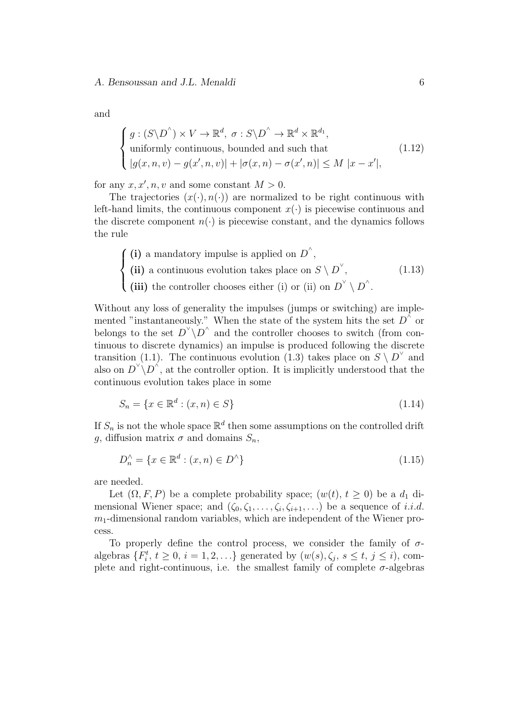and

$$
\begin{cases}\ng: (S \backslash D^{\wedge}) \times V \to \mathbb{R}^d, \ \sigma: S \backslash D^{\wedge} \to \mathbb{R}^d \times \mathbb{R}^{d_1},\text{uniformly continuous, bounded and such that} \\
|g(x, n, v) - g(x', n, v)| + |\sigma(x, n) - \sigma(x', n)| \leq M |x - x'|,\n\end{cases}
$$
\n(1.12)

for any  $x, x', n, v$  and some constant  $M > 0$ .

The trajectories  $(x(\cdot), n(\cdot))$  are normalized to be right continuous with left-hand limits, the continuous component  $x(\cdot)$  is piecewise continuous and the discrete component  $n(\cdot)$  is piecewise constant, and the dynamics follows the rule

 $\sqrt{ }$  $\int$  $\overline{a}$ (i) a mandatory impulse is applied on  $D^{\wedge}$ , (ii) a continuous evolution takes place on  $S \setminus D^{\check{}}$ , (iii) the controller chooses either (i) or (ii) on  $D^{\vee} \setminus D^{\wedge}$ . (1.13)

Without any loss of generality the impulses (jumps or switching) are implemented "instantaneously." When the state of the system hits the set  $D^{\wedge}$  or belongs to the set  $D^{\vee} \backslash D^{\wedge}$  and the controller chooses to switch (from continuous to discrete dynamics) an impulse is produced following the discrete transition (1.1). The continuous evolution (1.3) takes place on  $S \setminus D^{\vee}$  and also on  $D^{\vee} \backslash D^{\wedge}$ , at the controller option. It is implicitly understood that the continuous evolution takes place in some

$$
S_n = \{ x \in \mathbb{R}^d : (x, n) \in S \}
$$
\n(1.14)

If  $S_n$  is not the whole space  $\mathbb{R}^d$  then some assumptions on the controlled drift *g*, diffusion matrix  $\sigma$  and domains  $S_n$ ,

$$
D_n^{\wedge} = \{ x \in \mathbb{R}^d : (x, n) \in D^{\wedge} \}
$$
\n
$$
(1.15)
$$

are needed.

Let  $(\Omega, F, P)$  be a complete probability space;  $(w(t), t \geq 0)$  be a  $d_1$  dimensional Wiener space; and  $(\zeta_0, \zeta_1, \ldots, \zeta_i, \zeta_{i+1}, \ldots)$  be a sequence of *i.i.d.*  $m_1$ -dimensional random variables, which are independent of the Wiener process.

To properly define the control process, we consider the family of *σ*algebras  $\{F_i^t, t \geq 0, i = 1, 2, \ldots\}$  generated by  $(w(s), \zeta_j, s \leq t, j \leq i)$ , complete and right-continuous, i.e. the smallest family of complete  $\sigma$ -algebras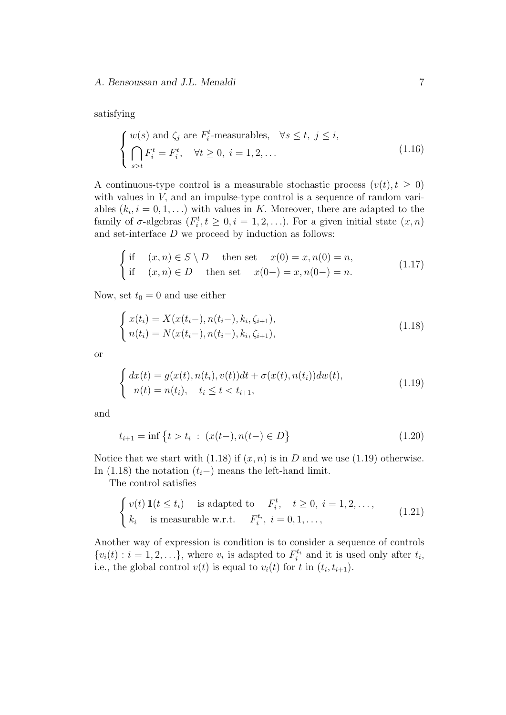satisfying

 $\overline{a}$ 

$$
\begin{cases} w(s) \text{ and } \zeta_j \text{ are } F_i^t \text{-measurable}, & \forall s \le t, j \le i, \\ \bigcap_{s>t} F_i^t = F_i^t, & \forall t \ge 0, i = 1, 2, \dots \\ \end{cases}
$$
\n(1.16)

A continuous-type control is a measurable stochastic process  $(v(t), t \geq 0)$ with values in *V*, and an impulse-type control is a sequence of random variables  $(k_i, i = 0, 1, \ldots)$  with values in *K*. Moreover, there are adapted to the family of  $\sigma$ -algebras  $(F_i^t, t \geq 0, i = 1, 2, \ldots)$ *.* For a given initial state  $(x, n)$ and set-interface *D* we proceed by induction as follows:

$$
\begin{cases}\n\text{if } (x, n) \in S \setminus D & \text{then set } x(0) = x, n(0) = n, \\
\text{if } (x, n) \in D & \text{then set } x(0-) = x, n(0-) = n.\n\end{cases} (1.17)
$$

Now, set  $t_0 = 0$  and use either

$$
\begin{cases}\nx(t_i) = X(x(t_i-), n(t_i-), k_i, \zeta_{i+1}), \\
n(t_i) = N(x(t_i-), n(t_i-), k_i, \zeta_{i+1}),\n\end{cases}
$$
\n(1.18)

or

$$
\begin{cases} dx(t) = g(x(t), n(t_i), v(t))dt + \sigma(x(t), n(t_i))dw(t), \\ n(t) = n(t_i), \quad t_i \le t < t_{i+1}, \end{cases}
$$
\n(1.19)

and

$$
t_{i+1} = \inf \left\{ t > t_i \; : \; (x(t-), n(t-) \in D) \right\}
$$
\n(1.20)

Notice that we start with  $(1.18)$  if  $(x, n)$  is in *D* and we use  $(1.19)$  otherwise. In (1.18) the notation  $(t_i-)$  means the left-hand limit.

The control satisfies

$$
\begin{cases}\nv(t) \mathbf{1}(t \le t_i) & \text{is adapted to} \quad F_i^t, \quad t \ge 0, \ i = 1, 2, \dots, \\
k_i & \text{is measurable w.r.t.} \quad F_i^{t_i}, \ i = 0, 1, \dots,\n\end{cases} \tag{1.21}
$$

Another way of expression is condition is to consider a sequence of controls  $\{v_i(t) : i = 1, 2, \ldots\}$ , where  $v_i$  is adapted to  $F_i^{t_i}$  and it is used only after  $t_i$ , i.e., the global control  $v(t)$  is equal to  $v_i(t)$  for  $t$  in  $(t_i, t_{i+1})$ .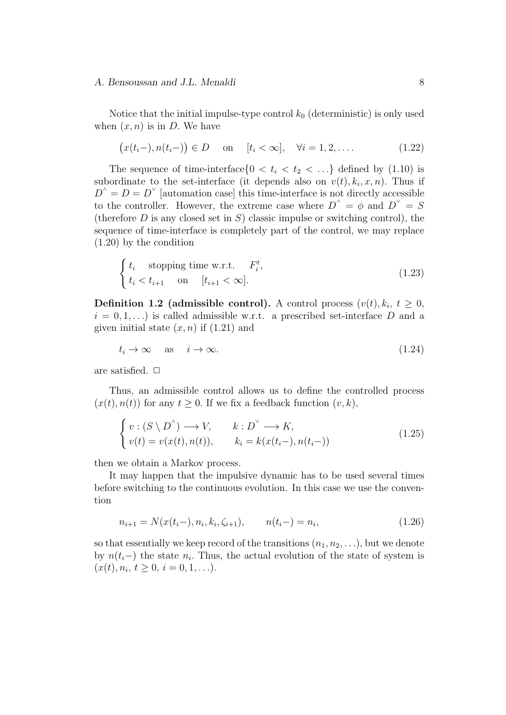Notice that the initial impulse-type control  $k_0$  (deterministic) is only used when  $(x, n)$  is in *D*. We have

$$
(x(t_i-), n(t_i-)) \in D \quad \text{on} \quad [t_i < \infty], \quad \forall i = 1, 2, \dots
$$
 (1.22)

The sequence of time-interface $\{0 \lt t_i \lt t_2 \lt \ldots\}$  defined by  $(1.10)$  is subordinate to the set-interface (it depends also on  $v(t)$ ,  $k_i$ , x, n). Thus if  $D^{\wedge} = D = D^{\vee}$  [automation case] this time-interface is not directly accessible to the controller. However, the extreme case where  $D^{\wedge} = \phi$  and  $D^{\vee} = S$ (therefore *D* is any closed set in *S*) classic impulse or switching control), the sequence of time-interface is completely part of the control, we may replace (1.20) by the condition

$$
\begin{cases} t_i & \text{stopping time w.r.t.} \\ t_i < t_{i+1} \end{cases} \quad \text{on} \quad [t_{i+1} < \infty]. \tag{1.23}
$$

**Definition 1.2 (admissible control).** A control process  $(v(t), k_i, t \geq 0,$  $i = 0, 1, \ldots$  is called admissible w.r.t. a prescribed set-interface D and a given initial state  $(x, n)$  if  $(1.21)$  and

$$
t_i \to \infty \quad \text{as} \quad i \to \infty. \tag{1.24}
$$

are satisfied.  $\Box$ 

Thus, an admissible control allows us to define the controlled process  $(x(t), n(t))$  for any  $t \geq 0$ . If we fix a feedback function  $(v, k)$ ,

$$
\begin{cases}\nv : (S \setminus D^{\wedge}) \longrightarrow V, & k : D^{\vee} \longrightarrow K, \\
v(t) = v(x(t), n(t)), & k_i = k(x(t_i-), n(t_i-))\n\end{cases}
$$
\n(1.25)

then we obtain a Markov process.

It may happen that the impulsive dynamic has to be used several times before switching to the continuous evolution. In this case we use the convention

$$
n_{i+1} = N(x(t_i-), n_i, k_i, \zeta_{i+1}), \qquad n(t_i-) = n_i,
$$
\n(1.26)

so that essentially we keep record of the transitions  $(n_1, n_2, \ldots)$ , but we denote by  $n(t_i-)$  the state  $n_i$ . Thus, the actual evolution of the state of system is  $(x(t), n_i, t \geq 0, i = 0, 1, \ldots).$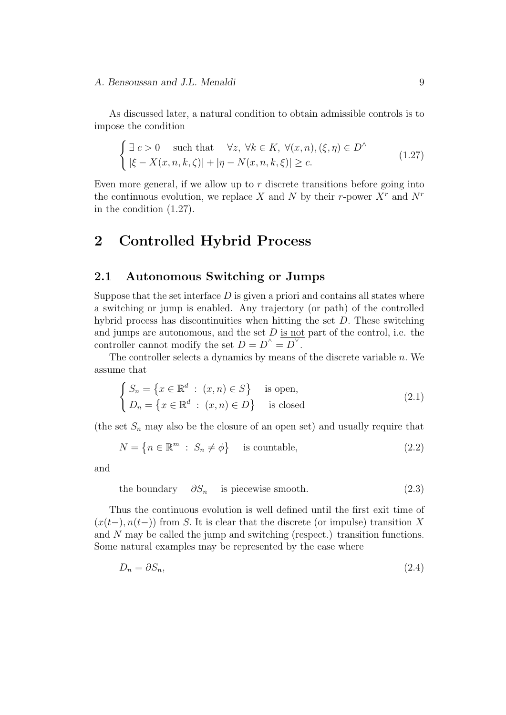As discussed later, a natural condition to obtain admissible controls is to impose the condition

$$
\begin{cases} \exists c > 0 \quad \text{such that} \quad \forall z, \ \forall k \in K, \ \forall (x, n), (\xi, \eta) \in D^{\wedge} \\ |\xi - X(x, n, k, \zeta)| + |\eta - N(x, n, k, \xi)| \ge c. \end{cases}
$$
\n(1.27)

Even more general, if we allow up to *r* discrete transitions before going into the continuous evolution, we replace X and N by their *r*-power  $X<sup>r</sup>$  and  $N<sup>r</sup>$ in the condition (1.27).

# **2 Controlled Hybrid Process**

# **2.1 Autonomous Switching or Jumps**

Suppose that the set interface  $D$  is given a priori and contains all states where a switching or jump is enabled. Any trajectory (or path) of the controlled hybrid process has discontinuities when hitting the set *D.* These switching and jumps are autonomous, and the set *D* is not part of the control, i.e. the controller cannot modify the set  $D = D^{\wedge} = D^{\vee}$ .

The controller selects a dynamics by means of the discrete variable *n.* We assume that

$$
\begin{cases}\nS_n = \{x \in \mathbb{R}^d : (x, n) \in S\} & \text{is open,} \\
D_n = \{x \in \mathbb{R}^d : (x, n) \in D\} & \text{is closed}\n\end{cases}
$$
\n(2.1)

(the set  $S_n$  may also be the closure of an open set) and usually require that

$$
N = \{ n \in \mathbb{R}^m : S_n \neq \phi \} \quad \text{is countable}, \tag{2.2}
$$

and

the boundary 
$$
\partial S_n
$$
 is piecewise smooth. (2.3)

Thus the continuous evolution is well defined until the first exit time of (*x*(*t−*)*, n*(*t−*)) from *S.* It is clear that the discrete (or impulse) transition *X* and *N* may be called the jump and switching (respect.) transition functions. Some natural examples may be represented by the case where

$$
D_n = \partial S_n,\tag{2.4}
$$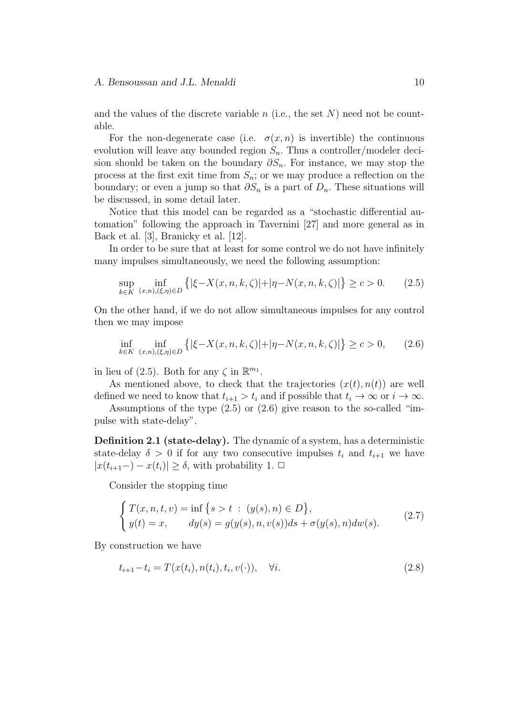and the values of the discrete variable  $n$  (i.e., the set  $N$ ) need not be countable.

For the non-degenerate case (i.e.  $\sigma(x, n)$  is invertible) the continuous evolution will leave any bounded region  $S_n$ . Thus a controller/modeler decision should be taken on the boundary *∂Sn.* For instance, we may stop the process at the first exit time from  $S_n$ ; or we may produce a reflection on the boundary; or even a jump so that  $\partial S_n$  is a part of  $D_n$ . These situations will be discussed, in some detail later.

Notice that this model can be regarded as a "stochastic differential automation" following the approach in Tavernini [27] and more general as in Back et al. [3], Branicky et al. [12].

In order to be sure that at least for some control we do not have infinitely many impulses simultaneously, we need the following assumption:

$$
\sup_{k \in K} \inf_{(x,n),(\xi,\eta) \in D} \left\{ |\xi - X(x,n,k,\zeta)| + |\eta - N(x,n,k,\zeta)| \right\} \ge c > 0. \tag{2.5}
$$

On the other hand, if we do not allow simultaneous impulses for any control then we may impose

$$
\inf_{k \in K} \inf_{(x,n),(\xi,\eta) \in D} \left\{ |\xi - X(x,n,k,\zeta)| + |\eta - N(x,n,k,\zeta)| \right\} \ge c > 0, \qquad (2.6)
$$

in lieu of (2.5). Both for any  $\zeta$  in  $\mathbb{R}^{m_1}$ .

As mentioned above, to check that the trajectories  $(x(t), n(t))$  are well defined we need to know that  $t_{i+1} > t_i$  and if possible that  $t_i \to \infty$  or  $i \to \infty$ .

Assumptions of the type (2.5) or (2.6) give reason to the so-called "impulse with state-delay".

**Definition 2.1 (state-delay).** The dynamic of a system, has a deterministic state-delay  $\delta > 0$  if for any two consecutive impulses  $t_i$  and  $t_{i+1}$  we have  $|x(t_{i+1}-) - x(t_i)| \geq \delta$ , with probability 1. **□** 

Consider the stopping time

$$
\begin{cases}\nT(x, n, t, v) = \inf \{s > t : (y(s), n) \in D\}, \\
y(t) = x, \qquad dy(s) = g(y(s), n, v(s))ds + \sigma(y(s), n)dw(s).\n\end{cases}
$$
\n(2.7)

By construction we have

$$
t_{i+1} - t_i = T(x(t_i), n(t_i), t_i, v(\cdot)), \quad \forall i.
$$
\n(2.8)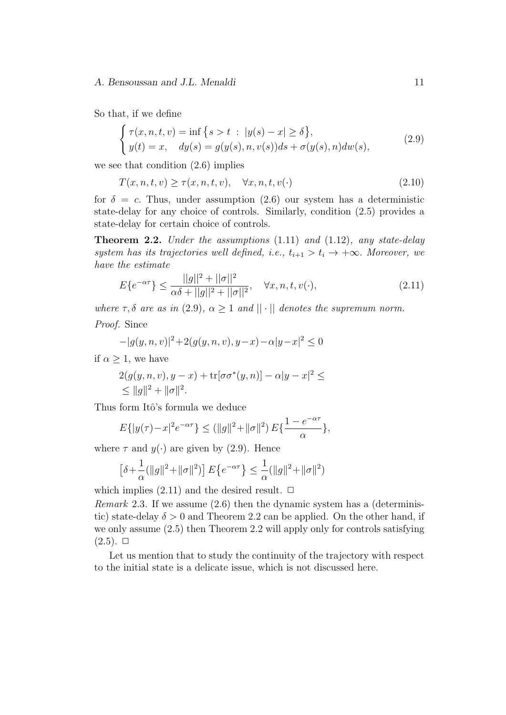So that, if we define

$$
\begin{cases}\n\tau(x, n, t, v) = \inf \{ s > t \; : \; |y(s) - x| \ge \delta \}, \\
y(t) = x, \quad dy(s) = g(y(s), n, v(s))ds + \sigma(y(s), n)dw(s),\n\end{cases}
$$
\n(2.9)

we see that condition (2.6) implies

$$
T(x, n, t, v) \ge \tau(x, n, t, v), \quad \forall x, n, t, v(\cdot)
$$
\n
$$
(2.10)
$$

for  $\delta = c$ . Thus, under assumption (2.6) our system has a deterministic state-delay for any choice of controls. Similarly, condition (2.5) provides a state-delay for certain choice of controls.

**Theorem 2.2.** *Under the assumptions* (1.11) *and* (1.12)*, any state-delay system has its trajectories well defined, i.e.,*  $t_{i+1} > t_i \rightarrow +\infty$ *. Moreover, we have the estimate*

$$
E\{e^{-\alpha \tau}\} \le \frac{||g||^2 + ||\sigma||^2}{\alpha \delta + ||g||^2 + ||\sigma||^2}, \quad \forall x, n, t, v(\cdot),
$$
\n(2.11)

*where*  $\tau$ ,  $\delta$  *are as in* (2.9),  $\alpha \geq 1$  *and*  $|| \cdot ||$  *denotes the supremum norm.*  $P^r$   $\alpha$ 

$$
-|g(y, n, v)|^2 + 2(g(y, n, v), y - x) - \alpha |y - x|^2 \le 0
$$

if  $\alpha > 1$ , we have

$$
2(g(y, n, v), y - x) + \text{tr}[\sigma \sigma^*(y, n)] - \alpha |y - x|^2 \le
$$
  
\$\le ||g||^2 + ||\sigma||^2\$.

Thus form Itô's formula we deduce

$$
E\{|y(\tau) - x|^2 e^{-\alpha \tau}\} \le (\|g\|^2 + \|\sigma\|^2) E\{\frac{1 - e^{-\alpha \tau}}{\alpha}\},
$$

where  $\tau$  and  $y(\cdot)$  are given by (2.9). Hence

$$
\left[\delta+\frac{1}{\alpha}(\|g\|^2+\|\sigma\|^2)\right]E\left\{e^{-\alpha\tau}\right\}\leq\frac{1}{\alpha}(\|g\|^2+\|\sigma\|^2)
$$

which implies  $(2.11)$  and the desired result.  $\Box$ 

*Remark* 2.3*.* If we assume (2.6) then the dynamic system has a (deterministic) state-delay  $\delta > 0$  and Theorem 2.2 can be applied. On the other hand, if we only assume (2.5) then Theorem 2.2 will apply only for controls satisfying  $(2.5)$ .  $\Box$ 

Let us mention that to study the continuity of the trajectory with respect to the initial state is a delicate issue, which is not discussed here.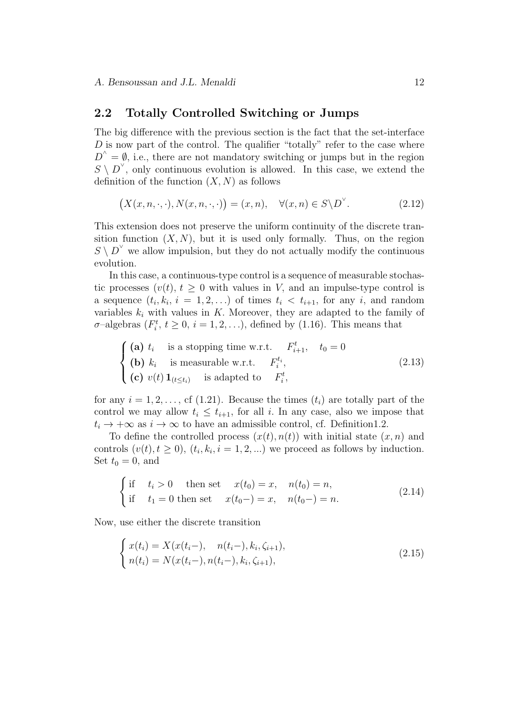### **2.2 Totally Controlled Switching or Jumps**

The big difference with the previous section is the fact that the set-interface *D* is now part of the control. The qualifier "totally" refer to the case where  $D^{\wedge} = \emptyset$ , i.e., there are not mandatory switching or jumps but in the region  $S \setminus D^{\vee}$ , only continuous evolution is allowed. In this case, we extend the definition of the function  $(X, N)$  as follows

$$
(X(x, n, \cdot, \cdot), N(x, n, \cdot, \cdot)) = (x, n), \quad \forall (x, n) \in S \backslash D^{\vee}.
$$
 (2.12)

This extension does not preserve the uniform continuity of the discrete transition function  $(X, N)$ , but it is used only formally. Thus, on the region  $S \setminus D^{\vee}$  we allow impulsion, but they do not actually modify the continuous evolution.

In this case, a continuous-type control is a sequence of measurable stochastic processes  $(v(t), t \geq 0$  with values in *V*, and an impulse-type control is a sequence  $(t_i, k_i, i = 1, 2, ...)$  of times  $t_i < t_{i+1}$ , for any *i*, and random variables  $k_i$  with values in  $K$ . Moreover, they are adapted to the family of *σ*-algebras  $(F_i^t, t \geq 0, i = 1, 2, \ldots)$ , defined by (1.16). This means that

$$
\begin{cases}\n\text{(a) } t_i & \text{is a stopping time w.r.t. } F_{i+1}^t, \quad t_0 = 0 \\
\text{(b) } k_i & \text{is measurable w.r.t. } F_i^{t_i}, \\
\text{(c) } v(t) \mathbf{1}_{(t \le t_i)} & \text{is adapted to } F_i^t,\n\end{cases}\n\tag{2.13}
$$

for any  $i = 1, 2, \ldots$ , cf (1.21). Because the times  $(t_i)$  are totally part of the control we may allow  $t_i \leq t_{i+1}$ , for all *i*. In any case, also we impose that  $t_i \rightarrow +\infty$  as  $i \rightarrow \infty$  to have an admissible control, cf. Definition1.2.

To define the controlled process  $(x(t), n(t))$  with initial state  $(x, n)$  and controls  $(v(t), t \geq 0)$ ,  $(t_i, k_i, i = 1, 2, \ldots)$  we proceed as follows by induction. Set  $t_0 = 0$ , and

$$
\begin{cases}\n\text{if } t_i > 0 \quad \text{then set } x(t_0) = x, \quad n(t_0) = n, \\
\text{if } t_1 = 0 \text{ then set } x(t_0-) = x, \quad n(t_0-) = n.\n\end{cases} \tag{2.14}
$$

Now, use either the discrete transition

$$
\begin{cases}\nx(t_i) = X(x(t_i-), \quad n(t_i-), k_i, \zeta_{i+1}), \\
n(t_i) = N(x(t_i-), n(t_i-), k_i, \zeta_{i+1}),\n\end{cases}
$$
\n(2.15)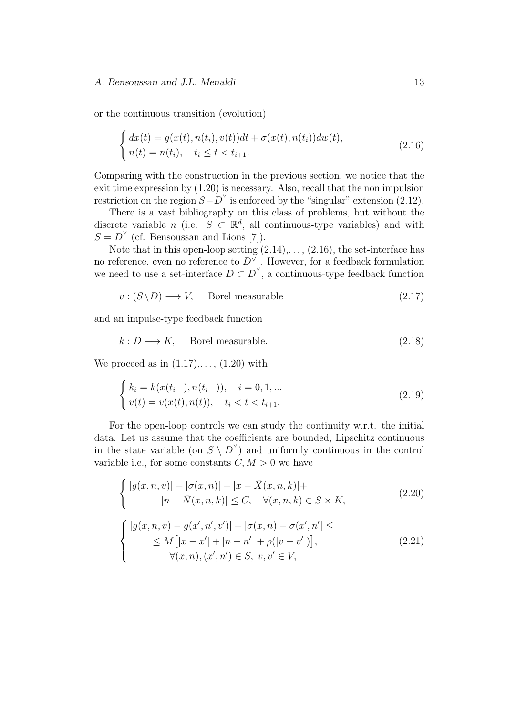or the continuous transition (evolution)

$$
\begin{cases} dx(t) = g(x(t), n(t_i), v(t))dt + \sigma(x(t), n(t_i))dw(t), \\ n(t) = n(t_i), \quad t_i \le t < t_{i+1}. \end{cases} \tag{2.16}
$$

Comparing with the construction in the previous section, we notice that the exit time expression by (1.20) is necessary. Also, recall that the non impulsion restriction on the region  $S - D^{\vee}$  is enforced by the "singular" extension (2.12).

There is a vast bibliography on this class of problems, but without the discrete variable *n* (i.e.  $S \subset \mathbb{R}^d$ , all continuous-type variables) and with  $S = D^{\vee}$  (cf. Bensoussan and Lions [7]).

Note that in this open-loop setting  $(2.14), \ldots, (2.16)$ , the set-interface has no reference, even no reference to  $D^{\vee}$  . However, for a feedback formulation we need to use a set-interface  $D \subset D^{\vee}$ , a continuous-type feedback function

$$
v: (S \backslash D) \longrightarrow V, \quad \text{Borel measurable} \tag{2.17}
$$

and an impulse-type feedback function

$$
k: D \longrightarrow K, \quad \text{Borel measurable.} \tag{2.18}
$$

We proceed as in  $(1.17), \ldots, (1.20)$  with

$$
\begin{cases}\nk_i = k(x(t_i-), n(t_i-)), & i = 0, 1, \dots \\
v(t) = v(x(t), n(t)), & t_i < t < t_{i+1}.\n\end{cases}
$$
\n(2.19)

For the open-loop controls we can study the continuity w.r.t. the initial data. Let us assume that the coefficients are bounded, Lipschitz continuous in the state variable (on  $S \setminus D^{\vee}$ ) and uniformly continuous in the control variable i.e., for some constants  $C, M > 0$  we have

$$
\begin{cases} |g(x,n,v)| + |\sigma(x,n)| + |x - \bar{X}(x,n,k)|+\\ + |n - \bar{N}(x,n,k)| \le C, \quad \forall (x,n,k) \in S \times K,\end{cases}
$$
\n(2.20)

$$
\begin{cases} |g(x,n,v) - g(x',n',v')| + |\sigma(x,n) - \sigma(x',n'| \leq \\ \leq M[|x-x'| + |n-n'| + \rho(|v-v'|)], \\ \forall (x,n), (x',n') \in S, \ v, v' \in V, \end{cases}
$$
 (2.21)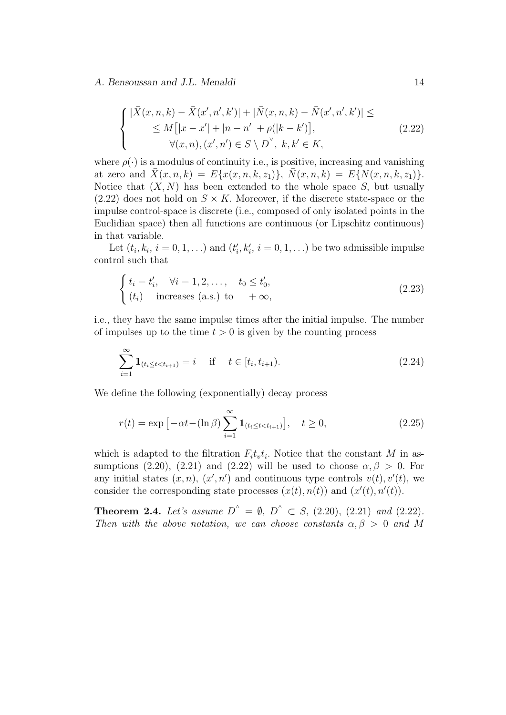$$
\begin{cases} |\bar{X}(x,n,k) - \bar{X}(x',n',k')| + |\bar{N}(x,n,k) - \bar{N}(x',n',k')| \leq \\ \leq M[|x-x'| + |n-n'| + \rho(|k-k')], \\ \forall (x,n), (x',n') \in S \setminus D^{\vee}, \ k, k' \in K, \end{cases}
$$
(2.22)

where  $\rho(\cdot)$  is a modulus of continuity i.e., is positive, increasing and vanishing at zero and  $\bar{X}(x, n, k) = E\{x(x, n, k, z_1)\}, \bar{N}(x, n, k) = E\{N(x, n, k, z_1)\}.$ Notice that  $(X, N)$  has been extended to the whole space  $S$ , but usually  $(2.22)$  does not hold on  $S \times K$ . Moreover, if the discrete state-space or the impulse control-space is discrete (i.e., composed of only isolated points in the Euclidian space) then all functions are continuous (or Lipschitz continuous) in that variable.

Let  $(t_i, k_i, i = 0, 1, \ldots)$  and  $(t'_i, k'_i, i = 0, 1, \ldots)$  be two admissible impulse control such that

$$
\begin{cases} t_i = t'_i, & \forall i = 1, 2, \dots, t_0 \le t'_0, \\ (t_i) & \text{increases (a.s.) to } +\infty, \end{cases}
$$
 (2.23)

i.e., they have the same impulse times after the initial impulse. The number of impulses up to the time  $t > 0$  is given by the counting process

$$
\sum_{i=1}^{\infty} \mathbf{1}_{(t_i \le t < t_{i+1})} = i \quad \text{if} \quad t \in [t_i, t_{i+1}).
$$
\n(2.24)

We define the following (exponentially) decay process

$$
r(t) = \exp\left[-\alpha t - (\ln \beta) \sum_{i=1}^{\infty} \mathbf{1}_{(t_i \le t < t_{i+1})}\right], \quad t \ge 0,
$$
\n(2.25)

which is adapted to the filtration  $F_i t_i t_i$ . Notice that the constant *M* in assumptions (2.20), (2.21) and (2.22) will be used to choose  $\alpha, \beta > 0$ . For any initial states  $(x, n)$ ,  $(x', n')$  and continuous type controls  $v(t)$ ,  $v'(t)$ , we consider the corresponding state processes  $(x(t), n(t))$  and  $(x'(t), n'(t))$ .

**Theorem 2.4.** *Let's* assume  $D^{\wedge} = \emptyset$ ,  $D^{\wedge} \subset S$ , (2.20), (2.21) and (2.22). *Then with the above notation, we can choose constants*  $\alpha, \beta > 0$  *and* M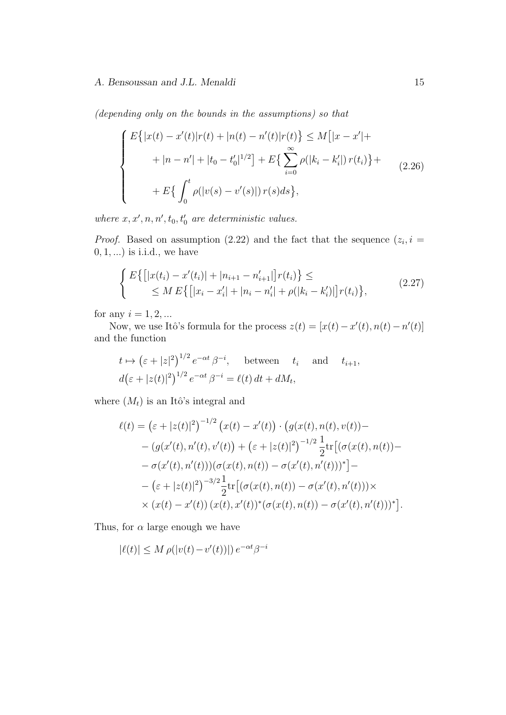*(depending only on the bounds in the assumptions) so that*

$$
\begin{cases}\nE\{|x(t) - x'(t)|r(t) + |n(t) - n'(t)|r(t)\} \le M[|x - x'| + \\
\quad + |n - n'| + |t_0 - t'_0|^{1/2}] + E\{\sum_{i=0}^{\infty} \rho(|k_i - k'_i|) r(t_i)\} + \\
\quad + E\{\int_0^t \rho(|v(s) - v'(s)|) r(s)ds\},\n\end{cases} \tag{2.26}
$$

*where*  $x, x', n, n', t_0, t'_0$  *are deterministic values.* 

*Proof.* Based on assumption (2.22) and the fact that the sequence  $(z_i, i =$ 0*,* 1*, ...*) is i.i.d., we have

$$
\begin{cases}\nE\{[|x(t_i) - x'(t_i)| + |n_{i+1} - n'_{i+1}|]r(t_i)\} \leq \\
\leq M E\{[|x_i - x'_i| + |n_i - n'_i| + \rho(|k_i - k'_i)|]r(t_i)\},\n\end{cases} \tag{2.27}
$$

for any  $i = 1, 2, ...$ 

Now, we use Itô's formula for the process  $z(t) = [x(t) - x'(t), n(t) - n'(t)]$ and the function

$$
t \mapsto (\varepsilon + |z|^2)^{1/2} e^{-\alpha t} \beta^{-i}, \quad \text{between} \quad t_i \quad \text{and} \quad t_{i+1},
$$
  

$$
d(\varepsilon + |z(t)|^2)^{1/2} e^{-\alpha t} \beta^{-i} = \ell(t) dt + dM_t,
$$

where  $(M_t)$  is an Itô's integral and

$$
\ell(t) = (\varepsilon + |z(t)|^2)^{-1/2} (x(t) - x'(t)) \cdot (g(x(t), n(t), v(t)) -
$$
  
\n
$$
- (g(x'(t), n'(t), v'(t)) + (\varepsilon + |z(t)|^2)^{-1/2} \frac{1}{2} \text{tr} [(\sigma(x(t), n(t)) -
$$
  
\n
$$
-\sigma(x'(t), n'(t)))(\sigma(x(t), n(t)) - \sigma(x'(t), n'(t)))^*] -
$$
  
\n
$$
-(\varepsilon + |z(t)|^2)^{-3/2} \frac{1}{2} \text{tr} [(\sigma(x(t), n(t)) - \sigma(x'(t), n'(t))) \times
$$
  
\n
$$
\times (x(t) - x'(t)) (x(t), x'(t))^* (\sigma(x(t), n(t)) - \sigma(x'(t), n'(t)))^*].
$$

Thus, for  $\alpha$  large enough we have

$$
|\ell(t)| \le M \rho(|v(t) - v'(t))| \, e^{-\alpha t} \beta^{-i}
$$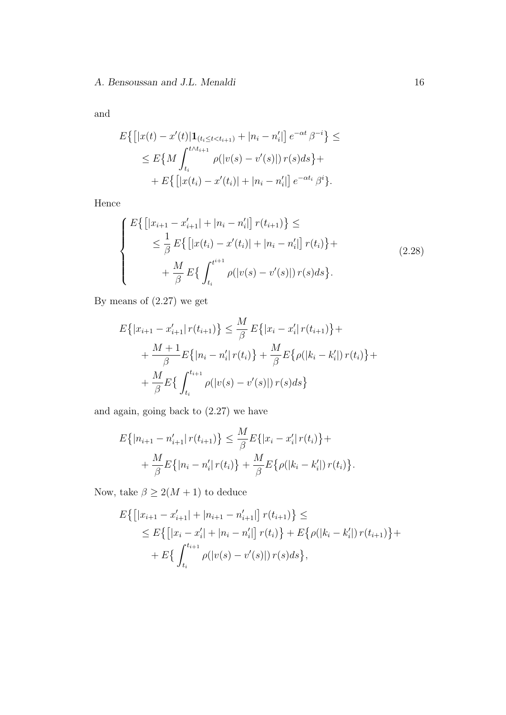and

$$
E\{[|x(t) - x'(t)|\mathbf{1}_{(t_i \le t < t_{i+1})} + |n_i - n'_i|]e^{-\alpha t} \beta^{-i}\} \le
$$
  
\n
$$
\le E\{M \int_{t_i}^{t \wedge t_{i+1}} \rho(|v(s) - v'(s)|) r(s) ds\} +
$$
  
\n
$$
+ E\{[|x(t_i) - x'(t_i)| + |n_i - n'_i|]e^{-\alpha t_i} \beta^i\}.
$$

Hence

$$
\begin{cases}\nE\left\{\left[|x_{i+1}-x'_{i+1}|+|n_i-n'_i|\right]r(t_{i+1})\right\} \leq \\
&\leq \frac{1}{\beta}E\left\{\left[|x(t_i)-x'(t_i)|+|n_i-n'_i|\right]r(t_i)\right\} + \\
&+ \frac{M}{\beta}E\left\{\int_{t_i}^{t_{i+1}} \rho(|v(s)-v'(s)|)r(s)ds\right\}.\n\end{cases} \tag{2.28}
$$

By means of (2.27) we get

$$
E\{|x_{i+1} - x'_{i+1}| r(t_{i+1})\} \leq \frac{M}{\beta} E\{|x_i - x'_i| r(t_{i+1})\} +
$$
  
+ 
$$
\frac{M+1}{\beta} E\{|n_i - n'_i| r(t_i)\} + \frac{M}{\beta} E\{\rho(|k_i - k'_i|) r(t_i)\} +
$$
  
+ 
$$
\frac{M}{\beta} E\{\int_{t_i}^{t_{i+1}} \rho(|v(s) - v'(s)|) r(s) ds\}
$$

and again, going back to (2.27) we have

$$
E\{|n_{i+1} - n'_{i+1}| r(t_{i+1})\} \leq \frac{M}{\beta} E\{|x_i - x'_i| r(t_i)\} + \frac{M}{\beta} E\{|n_i - n'_i| r(t_i)\} + \frac{M}{\beta} E\{\rho(|k_i - k'_i|) r(t_i)\}.
$$

Now, take  $\beta \geq 2(M+1)$  to deduce

$$
E\left\{ \left[ |x_{i+1} - x'_{i+1}| + |n_{i+1} - n'_{i+1}| \right] r(t_{i+1}) \right\} \le
$$
  
\n
$$
\leq E\left\{ \left[ |x_i - x'_i| + |n_i - n'_i| \right] r(t_i) \right\} + E\left\{ \rho(|k_i - k'_i|) r(t_{i+1}) \right\} +
$$
  
\n
$$
+ E\left\{ \int_{t_i}^{t_{i+1}} \rho(|v(s) - v'(s)|) r(s) ds \right\},
$$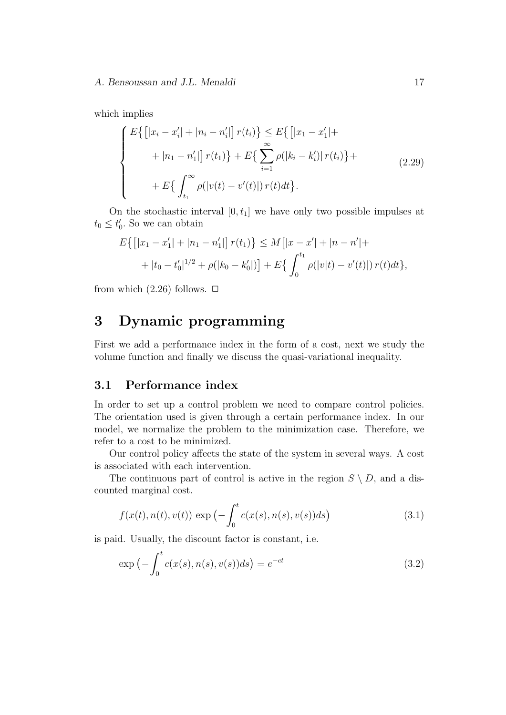which implies

$$
\begin{cases}\nE\left\{\left[|x_i - x'_i| + |n_i - n'_i|\right]r(t_i)\right\} < E\left\{\left[|x_1 - x'_1| + \dots + |n_1 - n'_1|\right]r(t_1)\right\} + E\left\{\sum_{i=1}^{\infty} \rho(|k_i - k'_i)|r(t_i)\right\} + \dots + E\left\{\int_{t_1}^{\infty} \rho(|v(t) - v'(t)|)r(t)dt\right\}.\n\end{cases} \tag{2.29}
$$

On the stochastic interval  $[0, t_1]$  we have only two possible impulses at  $t_0 \leq t'_0$ . So we can obtain

$$
E\left\{ \left[ |x_1 - x_1'| + |n_1 - n_1'| \right] r(t_1) \right\} \le M \left[ |x - x'| + |n - n'| +
$$
  
+ 
$$
|t_0 - t_0'|^{1/2} + \rho(|k_0 - k_0'|) \right] + E\left\{ \int_0^{t_1} \rho(|v|t) - v'(t)| r(t) dt \right\},\
$$

from which  $(2.26)$  follows.  $\Box$ 

# **3 Dynamic programming**

First we add a performance index in the form of a cost, next we study the volume function and finally we discuss the quasi-variational inequality.

# **3.1 Performance index**

In order to set up a control problem we need to compare control policies. The orientation used is given through a certain performance index. In our model, we normalize the problem to the minimization case. Therefore, we refer to a cost to be minimized.

Our control policy affects the state of the system in several ways. A cost is associated with each intervention.

The continuous part of control is active in the region  $S \setminus D$ , and a discounted marginal cost.

$$
f(x(t), n(t), v(t)) \exp\left(-\int_0^t c(x(s), n(s), v(s))ds\right)
$$
 (3.1)

is paid. Usually, the discount factor is constant, i.e.

$$
\exp\left(-\int_0^t c(x(s), n(s), v(s))ds\right) = e^{-ct}
$$
\n(3.2)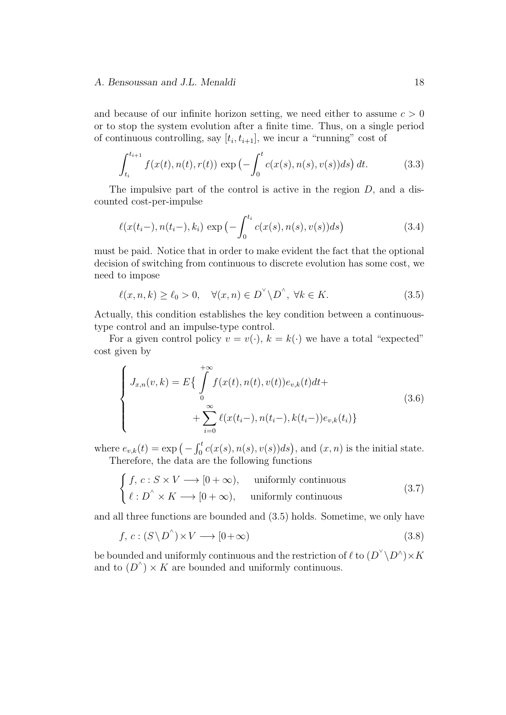and because of our infinite horizon setting, we need either to assume *c >* 0 or to stop the system evolution after a finite time. Thus, on a single period of continuous controlling, say  $[t_i, t_{i+1}]$ , we incur a "running" cost of

$$
\int_{t_i}^{t_{i+1}} f(x(t), n(t), r(t)) \exp\left(-\int_0^t c(x(s), n(s), v(s)) ds\right) dt.
$$
 (3.3)

The impulsive part of the control is active in the region *D,* and a discounted cost-per-impulse

$$
\ell(x(t_i-), n(t_i-), k_i) \exp\left(-\int_0^{t_i} c(x(s), n(s), v(s))ds\right)
$$
\n(3.4)

must be paid. Notice that in order to make evident the fact that the optional decision of switching from continuous to discrete evolution has some cost, we need to impose

$$
\ell(x, n, k) \ge \ell_0 > 0, \quad \forall (x, n) \in D^{\vee} \backslash D^{\wedge}, \ \forall k \in K. \tag{3.5}
$$

Actually, this condition establishes the key condition between a continuoustype control and an impulse-type control.

For a given control policy  $v = v(\cdot)$ ,  $k = k(\cdot)$  we have a total "expected" cost given by

$$
\begin{cases}\nJ_{x,n}(v,k) = E\{\int_{0}^{+\infty} f(x(t), n(t), v(t))e_{v,k}(t)dt + \n\end{cases} \n\begin{cases}\nJ_{x,n}(v,k) = E\{\int_{0}^{+\infty} f(x(t), n(t), v(t))e_{v,k}(t)dt + \sum_{i=0}^{\infty} \ell(x(t_i-), n(t_i-), k(t_i-))e_{v,k}(t_i)\}\n\end{cases} \n\tag{3.6}
$$

where  $e_{v,k}(t) = \exp(-\int_0^t c(x(s), n(s), v(s))ds)$ , and  $(x, n)$  is the initial state. Therefore, the data are the following functions

$$
\begin{cases}\nf, c: S \times V \longrightarrow [0 + \infty), & \text{uniformly continuous} \\
\ell: D^{\wedge} \times K \longrightarrow [0 + \infty), & \text{uniformly continuous}\n\end{cases}
$$
\n(3.7)

and all three functions are bounded and (3.5) holds. Sometime, we only have

$$
f, c: (S \setminus D^{\wedge}) \times V \longrightarrow [0 + \infty)
$$
\n
$$
(3.8)
$$

be bounded and uniformly continuous and the restriction of  $\ell$  to  $(D^{\vee} \backslash D^{\wedge}) \times K$ and to  $(D^{\wedge}) \times K$  are bounded and uniformly continuous.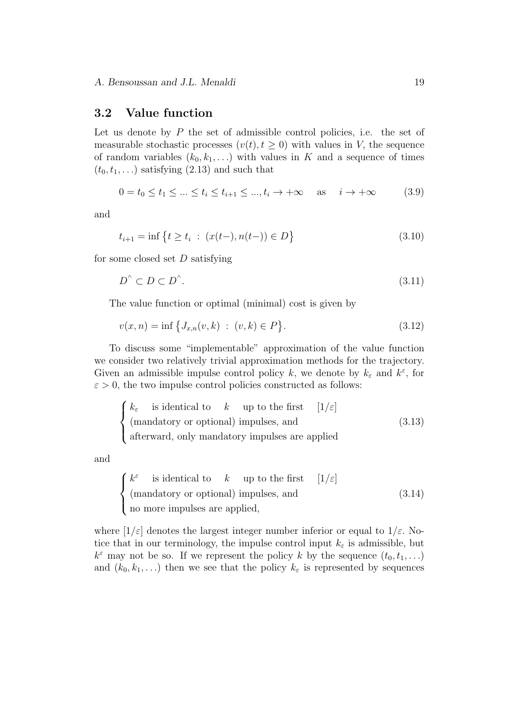### **3.2 Value function**

Let us denote by P the set of admissible control policies, i.e. the set of measurable stochastic processes  $(v(t), t \geq 0)$  with values in *V*, the sequence of random variables  $(k_0, k_1, \ldots)$  with values in *K* and a sequence of times  $(t_0, t_1, \ldots)$  satisfying  $(2.13)$  and such that

$$
0 = t_0 \le t_1 \le \dots \le t_i \le t_{i+1} \le \dots, t_i \to +\infty \quad \text{as} \quad i \to +\infty \tag{3.9}
$$

and

$$
t_{i+1} = \inf \left\{ t \ge t_i \; : \; (x(t-), n(t-)) \in D \right\} \tag{3.10}
$$

for some closed set *D* satisfying

$$
D^{^{\wedge}} \subset D \subset D^{^{\wedge}}.\tag{3.11}
$$

The value function or optimal (minimal) cost is given by

$$
v(x,n) = \inf \{ J_{x,n}(v,k) : (v,k) \in P \}.
$$
\n(3.12)

To discuss some "implementable" approximation of the value function we consider two relatively trivial approximation methods for the trajectory. Given an admissible impulse control policy *k*, we denote by  $k_{\varepsilon}$  and  $k^{\varepsilon}$ , for  $\varepsilon > 0$ , the two impulse control policies constructed as follows:

$$
\begin{cases}\nk_{\varepsilon} & \text{is identical to} \quad k \quad \text{up to the first} \\
(\text{mandatory or optional}) \text{ impulses, and} \\
\text{afterward, only mandatory impulses are applied}\n\end{cases} (3.13)
$$

and

$$
\begin{cases}\nk^{\varepsilon} & \text{is identical to} \quad k \quad \text{up to the first} \\
(\text{mandatory or optional}) \text{ impulses, and} \\
\text{no more impulses are applied,} \\
\end{cases} \tag{3.14}
$$

where  $[1/\varepsilon]$  denotes the largest integer number inferior or equal to  $1/\varepsilon$ . Notice that in our terminology, the impulse control input  $k_{\varepsilon}$  is admissible, but  $k^{\varepsilon}$  may not be so. If we represent the policy *k* by the sequence  $(t_0, t_1, \ldots)$ and  $(k_0, k_1, \ldots)$  then we see that the policy  $k_{\varepsilon}$  is represented by sequences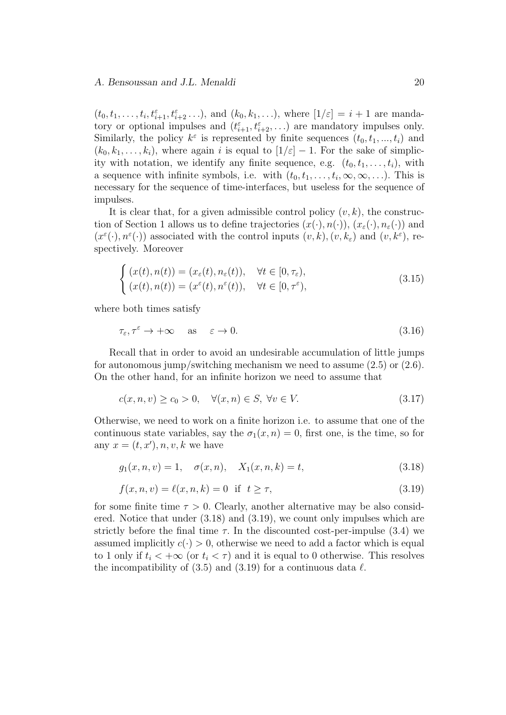$(t_0, t_1, \ldots, t_i, t_{i+1}^{\varepsilon}, t_{i+2}^{\varepsilon}, \ldots)$ , and  $(k_0, k_1, \ldots)$ , where  $[1/\varepsilon] = i + 1$  are mandatory or optional impulses and  $(t_{i+1}^{\varepsilon}, t_{i+2}^{\varepsilon}, \ldots)$  are mandatory impulses only. Similarly, the policy  $k^{\varepsilon}$  is represented by finite sequences  $(t_0, t_1, ..., t_i)$  and  $(k_0, k_1, \ldots, k_i)$ , where again *i* is equal to  $\left[1/\varepsilon\right] - 1$ . For the sake of simplicity with notation, we identify any finite sequence, e.g.  $(t_0, t_1, \ldots, t_i)$ , with a sequence with infinite symbols, i.e. with  $(t_0, t_1, \ldots, t_i, \infty, \infty, \ldots)$ . This is necessary for the sequence of time-interfaces, but useless for the sequence of impulses.

It is clear that, for a given admissible control policy  $(v, k)$ , the construction of Section 1 allows us to define trajectories  $(x(\cdot), n(\cdot))$ ,  $(x_\varepsilon(\cdot), n_\varepsilon(\cdot))$  and  $(x^{\varepsilon}(\cdot), n^{\varepsilon}(\cdot))$  associated with the control inputs  $(v, k), (v, k_{\varepsilon})$  and  $(v, k^{\varepsilon})$ , respectively. Moreover

$$
\begin{cases}\n(x(t), n(t)) = (x_{\varepsilon}(t), n_{\varepsilon}(t)), & \forall t \in [0, \tau_{\varepsilon}), \\
(x(t), n(t)) = (x^{\varepsilon}(t), n^{\varepsilon}(t)), & \forall t \in [0, \tau^{\varepsilon}),\n\end{cases}
$$
\n(3.15)

where both times satisfy

$$
\tau_{\varepsilon}, \tau^{\varepsilon} \to +\infty \quad \text{as} \quad \varepsilon \to 0. \tag{3.16}
$$

Recall that in order to avoid an undesirable accumulation of little jumps for autonomous jump/switching mechanism we need to assume  $(2.5)$  or  $(2.6)$ . On the other hand, for an infinite horizon we need to assume that

$$
c(x, n, v) \ge c_0 > 0, \quad \forall (x, n) \in S, \ \forall v \in V. \tag{3.17}
$$

Otherwise, we need to work on a finite horizon i.e. to assume that one of the continuous state variables, say the  $\sigma_1(x, n) = 0$ , first one, is the time, so for any  $x = (t, x')$ , n, v, k we have

$$
g_1(x, n, v) = 1, \quad \sigma(x, n), \quad X_1(x, n, k) = t,
$$
 (3.18)

$$
f(x, n, v) = \ell(x, n, k) = 0 \text{ if } t \ge \tau,
$$
\n(3.19)

for some finite time  $\tau > 0$ . Clearly, another alternative may be also considered. Notice that under (3.18) and (3.19), we count only impulses which are strictly before the final time  $\tau$ . In the discounted cost-per-impulse (3.4) we assumed implicitly  $c(\cdot) > 0$ , otherwise we need to add a factor which is equal to 1 only if  $t_i < +\infty$  (or  $t_i < \tau$ ) and it is equal to 0 otherwise. This resolves the incompatibility of  $(3.5)$  and  $(3.19)$  for a continuous data  $\ell$ .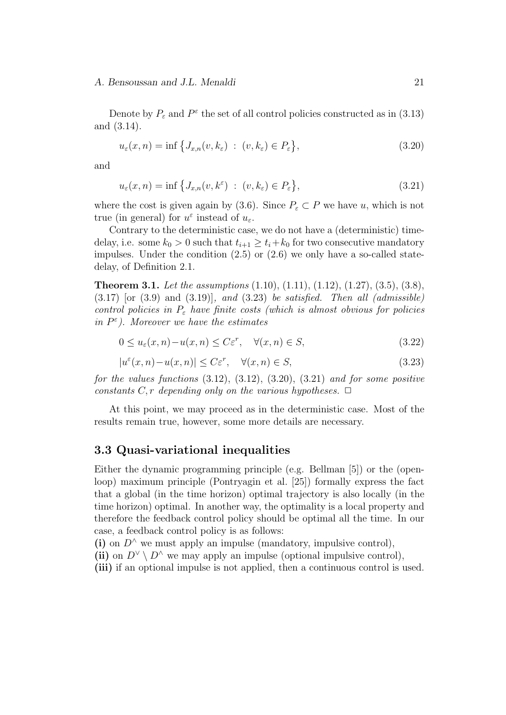Denote by  $P_{\varepsilon}$  and  $P^{\varepsilon}$  the set of all control policies constructed as in (3.13) and (3.14).

$$
u_{\varepsilon}(x,n) = \inf \left\{ J_{x,n}(v,k_{\varepsilon}) \ : \ (v,k_{\varepsilon}) \in P_{\varepsilon} \right\},\tag{3.20}
$$

and

$$
u_{\varepsilon}(x,n) = \inf \left\{ J_{x,n}(v,k^{\varepsilon}) \ : \ (v,k_{\varepsilon}) \in P_{\varepsilon} \right\},\tag{3.21}
$$

where the cost is given again by (3.6). Since  $P_{\varepsilon} \subset P$  we have *u*, which is not true (in general) for  $u^{\varepsilon}$  instead of  $u_{\varepsilon}$ .

Contrary to the deterministic case, we do not have a (deterministic) timedelay, i.e. some  $k_0 > 0$  such that  $t_{i+1} \geq t_i + k_0$  for two consecutive mandatory impulses. Under the condition  $(2.5)$  or  $(2.6)$  we only have a so-called statedelay, of Definition 2.1.

**Theorem 3.1.** *Let the assumptions* (1.10), (1.11), (1.12), (1.27), (3.5), (3.8), (3.17) [or (3.9) and (3.19)]*, and* (3.23) *be satisfied. Then all (admissible) control policies in P<sup>ε</sup> have finite costs (which is almost obvious for policies in P ε ). Moreover we have the estimates*

$$
0 \le u_{\varepsilon}(x, n) - u(x, n) \le C\varepsilon^r, \quad \forall (x, n) \in S,
$$
\n
$$
(3.22)
$$

$$
|u^{\varepsilon}(x,n) - u(x,n)| \le C\varepsilon^{r}, \quad \forall (x,n) \in S,
$$
\n(3.23)

*for the values functions* (3.12), (3.12), (3.20), (3.21) *and for some positive constants*  $C, r$  *depending only on the various hypotheses.*  $\Box$ 

At this point, we may proceed as in the deterministic case. Most of the results remain true, however, some more details are necessary.

### **3.3 Quasi-variational inequalities**

Either the dynamic programming principle (e.g. Bellman [5]) or the (openloop) maximum principle (Pontryagin et al. [25]) formally express the fact that a global (in the time horizon) optimal trajectory is also locally (in the time horizon) optimal. In another way, the optimality is a local property and therefore the feedback control policy should be optimal all the time. In our case, a feedback control policy is as follows:

(i) on  $D^{\wedge}$  we must apply an impulse (mandatory, impulsive control),

(ii) on  $D^{\vee} \setminus D^{\wedge}$  we may apply an impulse (optional impulsive control),

**(iii)** if an optional impulse is not applied, then a continuous control is used.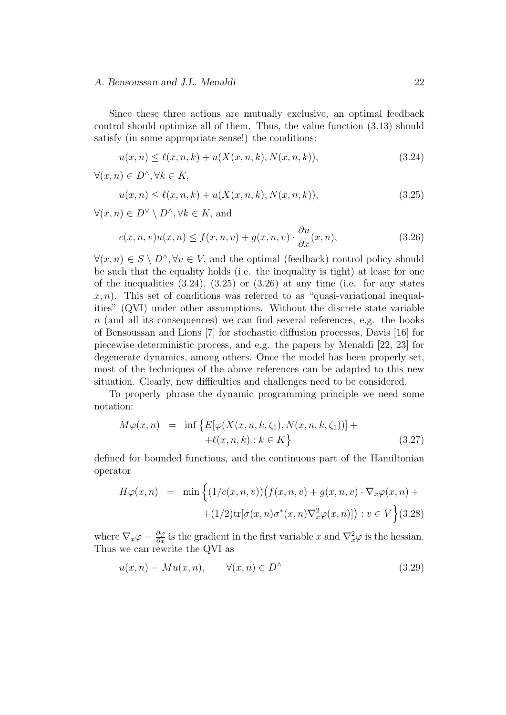Since these three actions are mutually exclusive, an optimal feedback control should optimize all of them. Thus, the value function (3.13) should satisfy (in some appropriate sense!) the conditions:

$$
u(x,n) \le \ell(x,n,k) + u(X(x,n,k),N(x,n,k)),\tag{3.24}
$$

$$
\forall (x, n) \in D^{\wedge}, \forall k \in K,
$$

$$
u(x,n) \le \ell(x,n,k) + u(X(x,n,k),N(x,n,k)),\tag{3.25}
$$

*∀*(*x, n*) *∈ D<sup>∨</sup> \ D<sup>∧</sup> , ∀k ∈ K,* and

$$
c(x, n, v)u(x, n) \le f(x, n, v) + g(x, n, v) \cdot \frac{\partial u}{\partial x}(x, n),
$$
\n(3.26)

*∀*(*x*, *n*)  $\in$  *S*  $\setminus$  *D*<sup> $\land$ </sup>,  $\forall v \in V$ , and the optimal (feedback) control policy should be such that the equality holds (i.e. the inequality is tight) at least for one of the inequalities  $(3.24)$ ,  $(3.25)$  or  $(3.26)$  at any time (i.e. for any states  $x, n$ ). This set of conditions was referred to as "quasi-variational inequalities" (QVI) under other assumptions. Without the discrete state variable *n* (and all its consequences) we can find several references, e.g. the books of Bensoussan and Lions [7] for stochastic diffusion processes, Davis [16] for piecewise deterministic process, and e.g. the papers by Menaldi [22, 23] for degenerate dynamics, among others. Once the model has been properly set, most of the techniques of the above references can be adapted to this new situation. Clearly, new difficulties and challenges need to be considered.

To properly phrase the dynamic programming principle we need some notation:

$$
M\varphi(x,n) = \inf \{ E[\varphi(X(x,n,k,\zeta_1), N(x,n,k,\zeta_1))] + +\ell(x,n,k) : k \in K \}
$$
\n(3.27)

defined for bounded functions, and the continuous part of the Hamiltonian operator

$$
H\varphi(x,n) = \min\left\{ (1/c(x,n,v))(f(x,n,v) + g(x,n,v) \cdot \nabla_x \varphi(x,n) + (1/2)\text{tr}[\sigma(x,n)\sigma^*(x,n)\nabla_x^2 \varphi(x,n)]\right) : v \in V\right\}
$$
(3.28)

where  $\nabla_x \varphi = \frac{\partial \varphi}{\partial x}$  is the gradient in the first variable *x* and  $\nabla_x^2 \varphi$  is the hessian. Thus we can rewrite the QVI as

$$
u(x,n) = Mu(x,n), \qquad \forall (x,n) \in D^{\wedge} \tag{3.29}
$$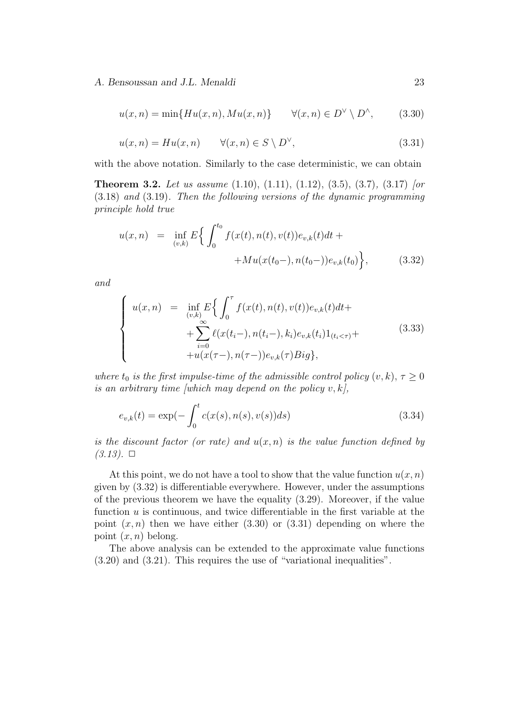$$
u(x,n) = \min\{Hu(x,n), Mu(x,n)\} \qquad \forall (x,n) \in D^{\vee} \setminus D^{\wedge}, \tag{3.30}
$$

$$
u(x,n) = Hu(x,n) \qquad \forall (x,n) \in S \setminus D^{\vee}, \tag{3.31}
$$

with the above notation. Similarly to the case deterministic, we can obtain

**Theorem 3.2.** *Let us assume* (1.10), (1.11), (1.12), (3.5), (3.7)*,* (3.17) *[or* (3.18) *and* (3.19)*. Then the following versions of the dynamic programming principle hold true*

$$
u(x,n) = \inf_{(v,k)} E\Big\{ \int_0^{t_0} f(x(t), n(t), v(t)) e_{v,k}(t) dt ++ M u(x(t_0-), n(t_0-)) e_{v,k}(t_0) \Big\},
$$
(3.32)

*and*

$$
\begin{cases}\nu(x,n) = \inf_{(v,k)} E\Big\{\int_0^{\tau} f(x(t), n(t), v(t))e_{v,k}(t)dt + \\ + \sum_{i=0}^{\infty} \ell(x(t_i-), n(t_i-), k_i)e_{v,k}(t_i)1_{(t_i < \tau)} + \\ + u(x(\tau-), n(\tau-))e_{v,k}(\tau)Big\},\end{cases} (3.33)
$$

*where*  $t_0$  *is the first impulse-time of the admissible control policy*  $(v, k)$ ,  $\tau \geq 0$ *is an arbitrary time [which may depend on the policy*  $v, k$ *]*,

$$
e_{v,k}(t) = \exp(-\int_0^t c(x(s), n(s), v(s))ds)
$$
\n(3.34)

*is the discount factor (or rate) and*  $u(x, n)$  *is the value function defined by*  $(3.13)$ .  $\square$ 

At this point, we do not have a tool to show that the value function  $u(x, n)$ given by (3.32) is differentiable everywhere. However, under the assumptions of the previous theorem we have the equality (3.29). Moreover, if the value function *u* is continuous, and twice differentiable in the first variable at the point  $(x, n)$  then we have either  $(3.30)$  or  $(3.31)$  depending on where the point  $(x, n)$  belong.

The above analysis can be extended to the approximate value functions (3.20) and (3.21). This requires the use of "variational inequalities".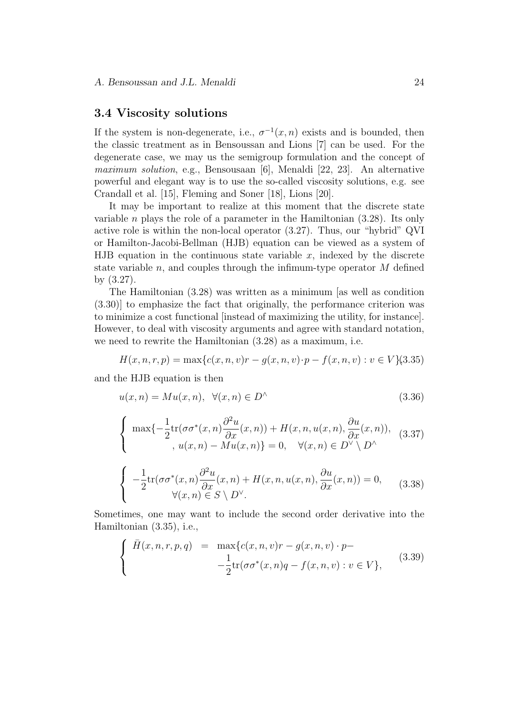### **3.4 Viscosity solutions**

If the system is non-degenerate, i.e.,  $\sigma^{-1}(x, n)$  exists and is bounded, then the classic treatment as in Bensoussan and Lions [7] can be used. For the degenerate case, we may us the semigroup formulation and the concept of *maximum solution*, e.g., Bensousaan [6], Menaldi [22, 23]. An alternative powerful and elegant way is to use the so-called viscosity solutions, e.g. see Crandall et al. [15], Fleming and Soner [18], Lions [20].

It may be important to realize at this moment that the discrete state variable *n* plays the role of a parameter in the Hamiltonian (3.28). Its only active role is within the non-local operator (3.27). Thus, our "hybrid" QVI or Hamilton-Jacobi-Bellman (HJB) equation can be viewed as a system of HJB equation in the continuous state variable  $x$ , indexed by the discrete state variable *n*, and couples through the infimum-type operator *M* defined by (3.27).

The Hamiltonian (3.28) was written as a minimum [as well as condition (3.30)] to emphasize the fact that originally, the performance criterion was to minimize a cost functional [instead of maximizing the utility, for instance]. However, to deal with viscosity arguments and agree with standard notation, we need to rewrite the Hamiltonian (3.28) as a maximum, i.e.

$$
H(x, n, r, p) = \max\{c(x, n, v)r - g(x, n, v) \cdot p - f(x, n, v) : v \in V\}(3.35)
$$

and the HJB equation is then

$$
u(x,n) = Mu(x,n), \ \forall (x,n) \in D^{\wedge} \tag{3.36}
$$

$$
\begin{cases}\n\max\{-\frac{1}{2}\text{tr}(\sigma\sigma^*(x,n)\frac{\partial^2 u}{\partial x}(x,n)) + H(x,n,u(x,n),\frac{\partial u}{\partial x}(x,n)), \\
u(x,n) - Mu(x,n)\} = 0, \quad \forall (x,n) \in D^\vee \setminus D^\wedge\n\end{cases} (3.37)
$$

$$
\begin{cases}\n-\frac{1}{2}\text{tr}(\sigma\sigma^*(x,n)\frac{\partial^2 u}{\partial x}(x,n) + H(x,n,u(x,n),\frac{\partial u}{\partial x}(x,n)) = 0, & (3.38) \\
\forall (x,n) \in S \setminus D^\vee.\n\end{cases}
$$

Sometimes, one may want to include the second order derivative into the Hamiltonian (3.35), i.e.,

$$
\begin{cases}\n\bar{H}(x, n, r, p, q) = \max\{c(x, n, v)r - g(x, n, v) \cdot p - \frac{1}{2}\text{tr}(\sigma\sigma^*(x, n)q - f(x, n, v) : v \in V\},\n\end{cases}
$$
\n(3.39)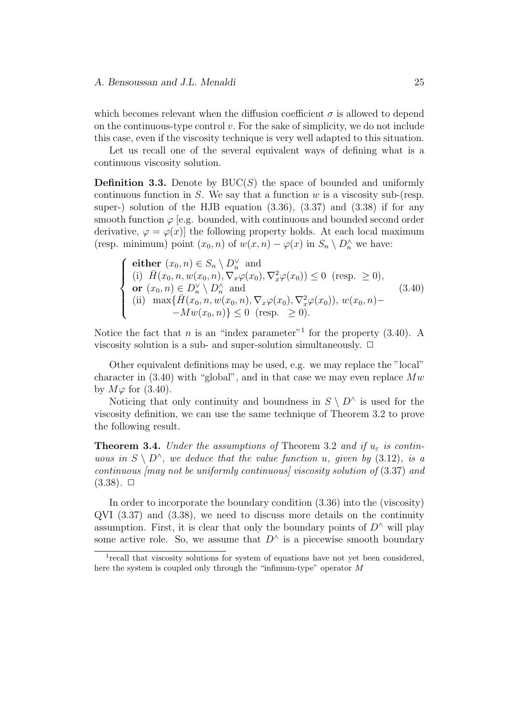which becomes relevant when the diffusion coefficient  $\sigma$  is allowed to depend on the continuous-type control *v.* For the sake of simplicity, we do not include this case, even if the viscosity technique is very well adapted to this situation.

Let us recall one of the several equivalent ways of defining what is a continuous viscosity solution.

**Definition 3.3.** Denote by BUC(*S*) the space of bounded and uniformly continuous function in *S*. We say that a function *w* is a viscosity sub-(resp. super-) solution of the HJB equation  $(3.36)$ ,  $(3.37)$  and  $(3.38)$  if for any smooth function  $\varphi$  [e.g. bounded, with continuous and bounded second order derivative,  $\varphi = \varphi(x)$  the following property holds. At each local maximum (resp. minimum) point  $(x_0, n)$  of  $w(x, n) - \varphi(x)$  in  $S_n \setminus D_n^{\wedge}$  we have:

$$
\begin{cases}\n\text{either } (x_0, n) \in S_n \setminus D_n^{\vee} \text{ and} \\
(i) \quad \bar{H}(x_0, n, w(x_0, n), \nabla_x \varphi(x_0), \nabla_x^2 \varphi(x_0)) \le 0 \quad (\text{resp. } \ge 0), \\
\text{or } (x_0, n) \in D_n^{\vee} \setminus D_n^{\wedge} \text{ and} \\
(ii) \quad \max\{\bar{H}(x_0, n, w(x_0, n), \nabla_x \varphi(x_0), \nabla_x^2 \varphi(x_0)), w(x_0, n) -\nabla_w(x_0, n)\} \le 0 \quad (\text{resp. } \ge 0).\n\end{cases} \tag{3.40}
$$

Notice the fact that *n* is an "index parameter"<sup>1</sup> for the property  $(3.40)$ . A viscosity solution is a sub- and super-solution simultaneously.  $\Box$ 

Other equivalent definitions may be used, e.g. we may replace the "local" character in (3.40) with "global", and in that case we may even replace *Mw* by  $M\varphi$  for (3.40).

Noticing that only continuity and boundness in  $S \setminus D^{\wedge}$  is used for the viscosity definition, we can use the same technique of Theorem 3.2 to prove the following result.

**Theorem 3.4.** *Under the assumptions of* Theorem 3.2 *and if*  $u_{\varepsilon}$  *is continuous in*  $S \setminus D^{\wedge}$ , *we deduce that the value function u*, *given* by (3.12), *is a continuous [may not be uniformly continuous] viscosity solution of* (3.37) *and*  $(3.38)$ .  $\Box$ 

In order to incorporate the boundary condition (3.36) into the (viscosity) QVI (3.37) and (3.38), we need to discuss more details on the continuity assumption. First, it is clear that only the boundary points of  $D^{\wedge}$  will play some active role. So, we assume that  $D^{\wedge}$  is a piecewise smooth boundary

<sup>&</sup>lt;sup>1</sup> recall that viscosity solutions for system of equations have not yet been considered, here the system is coupled only through the "infimum-type" operator *M*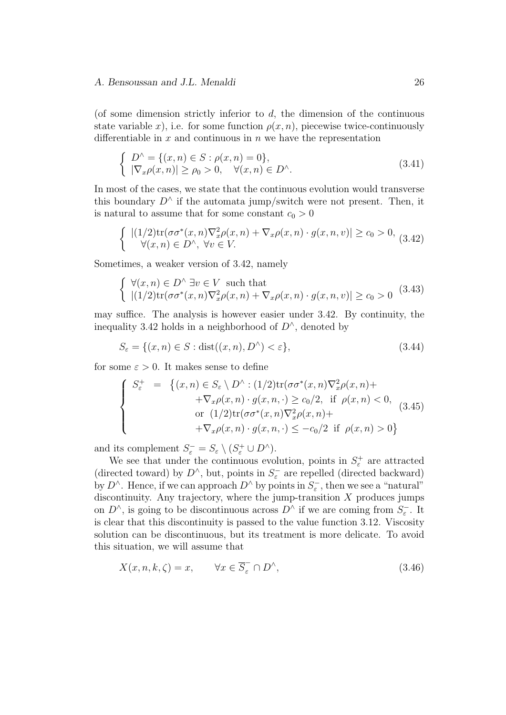(of some dimension strictly inferior to *d*, the dimension of the continuous state variable *x*), i.e. for some function  $\rho(x, n)$ , piecewise twice-continuously differentiable in *x* and continuous in *n* we have the representation

$$
\begin{cases}\nD^{\wedge} = \{(x, n) \in S : \rho(x, n) = 0\}, \\
|\nabla_x \rho(x, n)| \ge \rho_0 > 0, \quad \forall (x, n) \in D^{\wedge}.\n\end{cases} \tag{3.41}
$$

In most of the cases, we state that the continuous evolution would transverse this boundary  $D^{\wedge}$  if the automata jump/switch were not present. Then, it is natural to assume that for some constant  $c_0 > 0$ 

$$
\begin{cases} |(1/2)\text{tr}(\sigma\sigma^*(x,n)\nabla_x^2\rho(x,n) + \nabla_x\rho(x,n) \cdot g(x,n,v)| \ge c_0 > 0, \\ \forall (x,n) \in D^\wedge, \forall v \in V. \end{cases} (3.42)
$$

Sometimes, a weaker version of 3.42, namely

$$
\begin{cases} \forall (x, n) \in D^{\wedge} \exists v \in V \text{ such that} \\ |(1/2) \text{tr}(\sigma \sigma^*(x, n) \nabla_x^2 \rho(x, n) + \nabla_x \rho(x, n) \cdot g(x, n, v)| \ge c_0 > 0 \end{cases} (3.43)
$$

may suffice. The analysis is however easier under 3.42. By continuity, the inequality 3.42 holds in a neighborhood of *D<sup>∧</sup>* , denoted by

$$
S_{\varepsilon} = \{(x, n) \in S : \text{dist}((x, n), D^{\wedge}) < \varepsilon\},\tag{3.44}
$$

for some  $\varepsilon > 0$ . It makes sense to define

$$
\begin{cases}\nS_{\varepsilon}^{+} = \left\{ (x, n) \in S_{\varepsilon} \setminus D^{\wedge} : (1/2) \text{tr}(\sigma \sigma^{*}(x, n) \nabla_{x}^{2} \rho(x, n) + \nabla_{x} \rho(x, n) \cdot g(x, n, \cdot) \geq c_{0}/2, \text{ if } \rho(x, n) < 0, \\
\text{or } (1/2) \text{tr}(\sigma \sigma^{*}(x, n) \nabla_{x}^{2} \rho(x, n) + \nabla_{x} \rho(x, n) \cdot g(x, n, \cdot) \leq -c_{0}/2 \text{ if } \rho(x, n) > 0 \right\}\n\end{cases}
$$
\n(3.45)

and its complement  $S_{\varepsilon}^{-} = S_{\varepsilon} \setminus (S_{\varepsilon}^{+} \cup D^{\wedge}).$ 

We see that under the continuous evolution, points in  $S^+_\varepsilon$  are attracted (directed toward) by  $D^{\wedge}$ , but, points in  $S_{\varepsilon}^-$  are repelled (directed backward) by  $D^{\wedge}$ . Hence, if we can approach  $D^{\wedge}$  by points in  $S_{\varepsilon}^-$ , then we see a "natural" discontinuity. Any trajectory, where the jump-transition *X* produces jumps on  $D^{\wedge}$ , is going to be discontinuous across  $D^{\wedge}$  if we are coming from  $S_{\varepsilon}^{-}$ . It is clear that this discontinuity is passed to the value function 3.12. Viscosity solution can be discontinuous, but its treatment is more delicate. To avoid this situation, we will assume that

$$
X(x, n, k, \zeta) = x, \qquad \forall x \in \overline{S}_{\varepsilon} \cap D^{\wedge}, \tag{3.46}
$$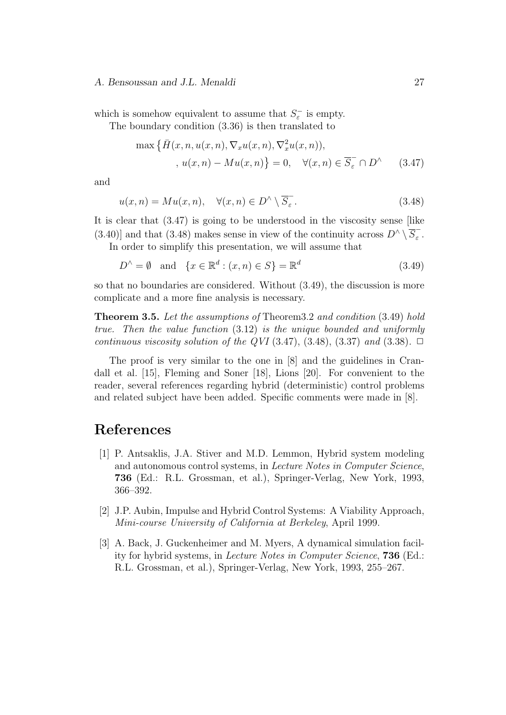which is somehow equivalent to assume that  $S_{\varepsilon}^-$  is empty.

The boundary condition (3.36) is then translated to

$$
\max \left\{ \bar{H}(x, n, u(x, n), \nabla_x u(x, n), \nabla_x^2 u(x, n)), \right\},
$$

$$
, u(x, n) - Mu(x, n) \right\} = 0, \quad \forall (x, n) \in \overline{S}_{\varepsilon} \cap D^{\wedge} \qquad (3.47)
$$

and

$$
u(x,n) = Mu(x,n), \quad \forall (x,n) \in D^{\wedge} \setminus \overline{S}_{\varepsilon}.
$$
\n(3.48)

It is clear that (3.47) is going to be understood in the viscosity sense [like  $(3.40)$ ] and that  $(3.48)$  makes sense in view of the continuity across  $D^{\wedge} \setminus \overline{S}_{\varepsilon}^{-}$ .

In order to simplify this presentation, we will assume that

$$
D^{\wedge} = \emptyset \quad \text{and} \quad \{x \in \mathbb{R}^d : (x, n) \in S\} = \mathbb{R}^d \tag{3.49}
$$

so that no boundaries are considered. Without (3.49), the discussion is more complicate and a more fine analysis is necessary.

**Theorem 3.5.** *Let the assumptions of* Theorem3.2 *and condition* (3.49) *hold true. Then the value function* (3.12) *is the unique bounded and uniformly continuous viscosity solution of the QVI* (3.47), (3.48), (3.37) *and* (3.38).  $\Box$ 

The proof is very similar to the one in [8] and the guidelines in Crandall et al. [15], Fleming and Soner [18], Lions [20]. For convenient to the reader, several references regarding hybrid (deterministic) control problems and related subject have been added. Specific comments were made in [8].

# **References**

- [1] P. Antsaklis, J.A. Stiver and M.D. Lemmon, Hybrid system modeling and autonomous control systems, in *Lecture Notes in Computer Science*, **736** (Ed.: R.L. Grossman, et al.), Springer-Verlag, New York, 1993, 366–392.
- [2] J.P. Aubin, Impulse and Hybrid Control Systems: A Viability Approach, *Mini-course University of California at Berkeley*, April 1999.
- [3] A. Back, J. Guckenheimer and M. Myers, A dynamical simulation facility for hybrid systems, in *Lecture Notes in Computer Science*, **736** (Ed.: R.L. Grossman, et al.), Springer-Verlag, New York, 1993, 255–267.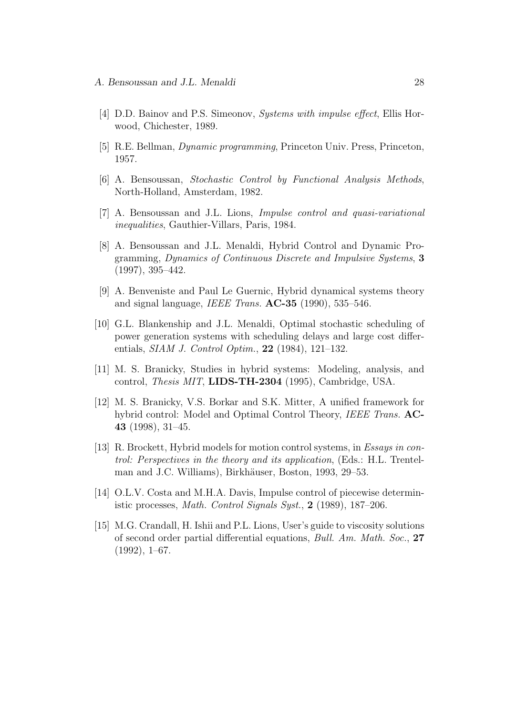- [4] D.D. Bainov and P.S. Simeonov, *Systems with impulse effect*, Ellis Horwood, Chichester, 1989.
- [5] R.E. Bellman, *Dynamic programming*, Princeton Univ. Press, Princeton, 1957.
- [6] A. Bensoussan, *Stochastic Control by Functional Analysis Methods*, North-Holland, Amsterdam, 1982.
- [7] A. Bensoussan and J.L. Lions, *Impulse control and quasi-variational inequalities*, Gauthier-Villars, Paris, 1984.
- [8] A. Bensoussan and J.L. Menaldi, Hybrid Control and Dynamic Programming, *Dynamics of Continuous Discrete and Impulsive Systems*, **3** (1997), 395–442.
- [9] A. Benveniste and Paul Le Guernic, Hybrid dynamical systems theory and signal language, *IEEE Trans.* **AC-35** (1990), 535–546.
- [10] G.L. Blankenship and J.L. Menaldi, Optimal stochastic scheduling of power generation systems with scheduling delays and large cost differentials, *SIAM J. Control Optim.*, **22** (1984), 121–132.
- [11] M. S. Branicky, Studies in hybrid systems: Modeling, analysis, and control, *Thesis MIT*, **LIDS-TH-2304** (1995), Cambridge, USA.
- [12] M. S. Branicky, V.S. Borkar and S.K. Mitter, A unified framework for hybrid control: Model and Optimal Control Theory, *IEEE Trans.* **AC-43** (1998), 31–45.
- [13] R. Brockett, Hybrid models for motion control systems, in *Essays in control: Perspectives in the theory and its application*, (Eds.: H.L. Trentelman and J.C. Williams), Birkhäuser, Boston, 1993, 29–53.
- [14] O.L.V. Costa and M.H.A. Davis, Impulse control of piecewise deterministic processes, *Math. Control Signals Syst.*, **2** (1989), 187–206.
- [15] M.G. Crandall, H. Ishii and P.L. Lions, User's guide to viscosity solutions of second order partial differential equations, *Bull. Am. Math. Soc.*, **27**  $(1992), 1–67.$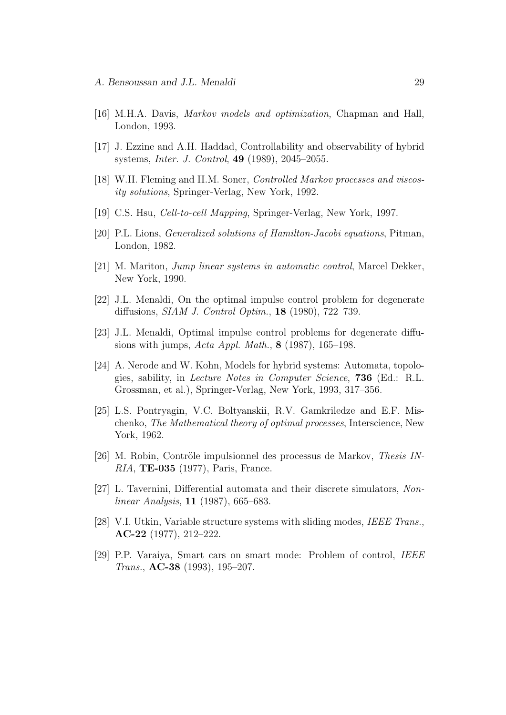- [16] M.H.A. Davis, *Markov models and optimization*, Chapman and Hall, London, 1993.
- [17] J. Ezzine and A.H. Haddad, Controllability and observability of hybrid systems, *Inter. J. Control*, **49** (1989), 2045–2055.
- [18] W.H. Fleming and H.M. Soner, *Controlled Markov processes and viscosity solutions*, Springer-Verlag, New York, 1992.
- [19] C.S. Hsu, *Cell-to-cell Mapping*, Springer-Verlag, New York, 1997.
- [20] P.L. Lions, *Generalized solutions of Hamilton-Jacobi equations*, Pitman, London, 1982.
- [21] M. Mariton, *Jump linear systems in automatic control*, Marcel Dekker, New York, 1990.
- [22] J.L. Menaldi, On the optimal impulse control problem for degenerate diffusions, *SIAM J. Control Optim.*, **18** (1980), 722–739.
- [23] J.L. Menaldi, Optimal impulse control problems for degenerate diffusions with jumps, *Acta Appl. Math.*, **8** (1987), 165–198.
- [24] A. Nerode and W. Kohn, Models for hybrid systems: Automata, topologies, sability, in *Lecture Notes in Computer Science*, **736** (Ed.: R.L. Grossman, et al.), Springer-Verlag, New York, 1993, 317–356.
- [25] L.S. Pontryagin, V.C. Boltyanskii, R.V. Gamkriledze and E.F. Mischenko, *The Mathematical theory of optimal processes*, Interscience, New York, 1962.
- [26] M. Robin, Contröle impulsionnel des processus de Markov, *Thesis IN-RIA*, **TE-035** (1977), Paris, France.
- [27] L. Tavernini, Differential automata and their discrete simulators, *Nonlinear Analysis*, **11** (1987), 665–683.
- [28] V.I. Utkin, Variable structure systems with sliding modes, *IEEE Trans.*, **AC-22** (1977), 212–222.
- [29] P.P. Varaiya, Smart cars on smart mode: Problem of control, *IEEE Trans.*, **AC-38** (1993), 195–207.